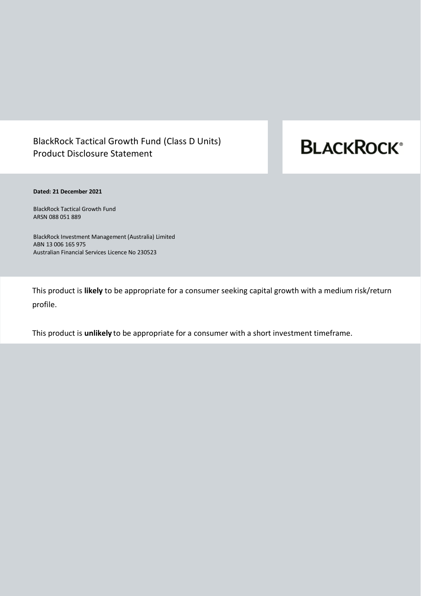# BlackRock Tactical Growth Fund (Class D Units) Product Disclosure Statement

# **BLACKROCK®**

# **Dated: 21 December 2021**

BlackRock Tactical Growth Fund ARSN 088 051 889

BlackRock Investment Management (Australia) Limited ABN 13 006 165 975 Australian Financial Services Licence No 230523

This product is **likely** to be appropriate for a consumer seeking capital growth with a medium risk/return profile.

This product is **unlikely** to be appropriate for a consumer with a short investment timeframe.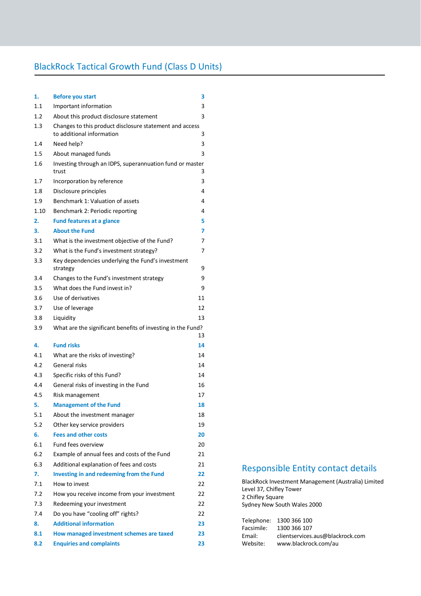# BlackRock Tactical Growth Fund (Class D Units)

| 1.   | <b>Before you start</b>                                                              | 3  |
|------|--------------------------------------------------------------------------------------|----|
| 1.1  | Important information                                                                | 3  |
| 1.2  | About this product disclosure statement                                              | 3  |
| 1.3  | Changes to this product disclosure statement and access<br>to additional information | 3  |
| 1.4  | Need help?                                                                           | 3  |
| 1.5  | About managed funds                                                                  | 3  |
| 1.6  | Investing through an IDPS, superannuation fund or master<br>trust                    | 3  |
| 1.7  | Incorporation by reference                                                           | 3  |
| 1.8  | Disclosure principles                                                                | 4  |
| 1.9  | Benchmark 1: Valuation of assets                                                     | 4  |
| 1.10 | Benchmark 2: Periodic reporting                                                      | 4  |
| 2.   | <b>Fund features at a glance</b>                                                     | 5  |
| 3.   | <b>About the Fund</b>                                                                | 7  |
| 3.1  | What is the investment objective of the Fund?                                        | 7  |
| 3.2  | What is the Fund's investment strategy?                                              | 7  |
| 3.3  | Key dependencies underlying the Fund's investment<br>strategy                        | 9  |
| 3.4  | Changes to the Fund's investment strategy                                            | 9  |
| 3.5  | What does the Fund invest in?                                                        | 9  |
| 3.6  | Use of derivatives                                                                   | 11 |
| 3.7  | Use of leverage                                                                      | 12 |
| 3.8  | Liquidity                                                                            | 13 |
| 3.9  | What are the significant benefits of investing in the Fund?                          |    |
|      |                                                                                      | 13 |
| 4.   | <b>Fund risks</b>                                                                    | 14 |
| 4.1  | What are the risks of investing?                                                     | 14 |
| 4.2  | General risks                                                                        | 14 |
| 4.3  | Specific risks of this Fund?                                                         | 14 |
| 4.4  | General risks of investing in the Fund                                               | 16 |
| 4.5  | Risk management                                                                      | 17 |
| 5.   | <b>Management of the Fund</b>                                                        | 18 |
| 5.1  | About the investment manager                                                         | 18 |
| 5.2  | Other key service providers                                                          | 19 |
| 6.   | <b>Fees and other costs</b>                                                          | 20 |
| 6.1  | Fund fees overview                                                                   | 20 |
| 6.2  | Example of annual fees and costs of the Fund                                         | 21 |
| 6.3  | Additional explanation of fees and costs                                             | 21 |
| 7.   | Investing in and redeeming from the Fund                                             | 22 |
| 7.1  | How to invest                                                                        | 22 |
| 7.2  | How you receive income from your investment                                          | 22 |
| 7.3  | Redeeming your investment                                                            | 22 |
| 7.4  | Do you have "cooling off" rights?                                                    | 22 |
| 8.   | <b>Additional information</b>                                                        | 23 |
| 8.1  | How managed investment schemes are taxed                                             | 23 |
| 8.2  | <b>Enquiries and complaints</b>                                                      | 23 |

# Responsible Entity contact details

BlackRock Investment Management (Australia) Limited Level 37, Chifley Tower 2 Chifley Square Sydney New South Wales 2000

|            | Telephone: 1300 366 100          |
|------------|----------------------------------|
| Facsimile: | 1300 366 107                     |
| Email:     | clientservices.aus@blackrock.com |
| Website:   | www.blackrock.com/au             |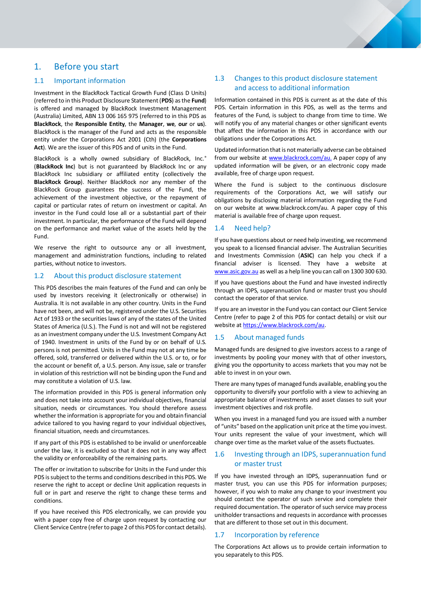# <span id="page-2-0"></span>1. Before you start

# <span id="page-2-1"></span>1.1 Important information

Investment in the BlackRock Tactical Growth Fund (Class D Units) (referred to in this Product Disclosure Statement (**PDS**) as the **Fund**) is offered and managed by BlackRock Investment Management (Australia) Limited, ABN 13 006 165 975 (referred to in this PDS as **BlackRock**, the **Responsible Entity**, the **Manager**, **we**, **our** or **us**). BlackRock is the manager of the Fund and acts as the responsible entity under the Corporations Act 2001 (Cth) (the **Corporations Act**). We are the issuer of this PDS and of units in the Fund.

BlackRock is a wholly owned subsidiary of BlackRock, Inc.<sup>®</sup> (**BlackRock Inc**) but is not guaranteed by BlackRock Inc or any BlackRock Inc subsidiary or affiliated entity (collectively the **BlackRock Group**). Neither BlackRock nor any member of the BlackRock Group guarantees the success of the Fund, the achievement of the investment objective, or the repayment of capital or particular rates of return on investment or capital. An investor in the Fund could lose all or a substantial part of their investment. In particular, the performance of the Fund will depend on the performance and market value of the assets held by the Fund.

We reserve the right to outsource any or all investment, management and administration functions, including to related parties, without notice to investors.

#### <span id="page-2-2"></span>1.2 About this product disclosure statement

This PDS describes the main features of the Fund and can only be used by investors receiving it (electronically or otherwise) in Australia. It is not available in any other country. Units in the Fund have not been, and will not be, registered under the U.S. Securities Act of 1933 or the securities laws of any of the states of the United States of America (U.S.). The Fund is not and will not be registered as an investment company under the U.S. Investment Company Act of 1940. Investment in units of the Fund by or on behalf of U.S. persons is not permitted. Units in the Fund may not at any time be offered, sold, transferred or delivered within the U.S. or to, or for the account or benefit of, a U.S. person. Any issue, sale or transfer in violation of this restriction will not be binding upon the Fund and may constitute a violation of U.S. law.

The information provided in this PDS is general information only and does not take into account your individual objectives, financial situation, needs or circumstances. You should therefore assess whether the information is appropriate for you and obtain financial advice tailored to you having regard to your individual objectives, financial situation, needs and circumstances.

If any part of this PDS is established to be invalid or unenforceable under the law, it is excluded so that it does not in any way affect the validity or enforceability of the remaining parts.

The offer or invitation to subscribe for Units in the Fund under this PDS is subject to the terms and conditions described in this PDS. We reserve the right to accept or decline Unit application requests in full or in part and reserve the right to change these terms and conditions.

If you have received this PDS electronically, we can provide you with a paper copy free of charge upon request by contacting our Client Service Centre (refer to page 2 of this PDS for contact details).

# <span id="page-2-3"></span>1.3 Changes to this product disclosure statement and access to additional information

Information contained in this PDS is current as at the date of this PDS. Certain information in this PDS, as well as the terms and features of the Fund, is subject to change from time to time. We will notify you of any material changes or other significant events that affect the information in this PDS in accordance with our obligations under the Corporations Act.

Updated information that is not materially adverse can be obtained from our website at [www.blackrock.com/au.](https://www.blackrock.com/au) A paper copy of any updated information will be given, or an electronic copy made available, free of charge upon request.

Where the Fund is subject to the continuous disclosure requirements of the Corporations Act, we will satisfy our obligations by disclosing material information regarding the Fund on our website at www.blackrock.com/au. A paper copy of this material is available free of charge upon request.

## <span id="page-2-4"></span>1.4 Need help?

If you have questions about or need help investing, we recommend you speak to a licensed financial adviser. The Australian Securities and Investments Commission (**ASIC**) can help you check if a financial adviser is licensed. They have a website at [www.asic.gov.au](http://www.asic.gov.au/) as well as a help line you can call on 1300 300 630.

If you have questions about the Fund and have invested indirectly through an IDPS, superannuation fund or master trust you should contact the operator of that service.

If you are an investor in the Fund you can contact our Client Service Centre (refer to page 2 of this PDS for contact details) or visit our website a[t https://www.blackrock.com/au.](https://www.blackrock.com/au)

#### <span id="page-2-5"></span>1.5 About managed funds

Managed funds are designed to give investors access to a range of investments by pooling your money with that of other investors, giving you the opportunity to access markets that you may not be able to invest in on your own.

There are many types of managed funds available, enabling you the opportunity to diversify your portfolio with a view to achieving an appropriate balance of investments and asset classes to suit your investment objectives and risk profile.

When you invest in a managed fund you are issued with a number of "units" based on the application unit price at the time you invest. Your units represent the value of your investment, which will change over time as the market value of the assets fluctuates.

# <span id="page-2-6"></span>1.6 Investing through an IDPS, superannuation fund or master trust

If you have invested through an IDPS, superannuation fund or master trust, you can use this PDS for information purposes; however, if you wish to make any change to your investment you should contact the operator of such service and complete their required documentation. The operator of such service may process unitholder transactions and requests in accordance with processes that are different to those set out in this document.

#### <span id="page-2-7"></span>1.7 Incorporation by reference

The Corporations Act allows us to provide certain information to you separately to this PDS.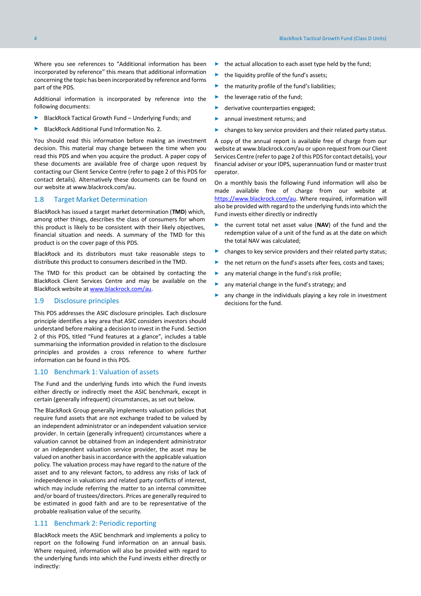Where you see references to "Additional information has been incorporated by reference" this means that additional information concerning the topic has been incorporated by reference and forms part of the PDS.

Additional information is incorporated by reference into the following documents:

- ► BlackRock Tactical Growth Fund Underlying Funds; and
- ► BlackRock Additional Fund Information No. 2.

You should read this information before making an investment decision. This material may change between the time when you read this PDS and when you acquire the product. A paper copy of these documents are available free of charge upon request by contacting our Client Service Centre (refer to page 2 of this PDS for contact details). Alternatively these documents can be found on our website at www.blackrock.com/au.

## 1.8 Target Market Determination

BlackRock has issued a target market determination (**TMD**) which, among other things, describes the class of consumers for whom this product is likely to be consistent with their likely objectives, financial situation and needs. A summary of the TMD for this product is on the cover page of this PDS.

BlackRock and its distributors must take reasonable steps to distribute this product to consumers described in the TMD.

The TMD for this product can be obtained by contacting the BlackRock Client Services Centre and may be available on the BlackRock website a[t www.blackrock.com/au.](http://www.blackrock.com.au/)

#### <span id="page-3-0"></span>1.9 Disclosure principles

This PDS addresses the ASIC disclosure principles. Each disclosure principle identifies a key area that ASIC considers investors should understand before making a decision to invest in the Fund. Section 2 of this PDS, titled "Fund features at a glance", includes a table summarising the information provided in relation to the disclosure principles and provides a cross reference to where further information can be found in this PDS.

# <span id="page-3-1"></span>1.10 Benchmark 1: Valuation of assets

The Fund and the underlying funds into which the Fund invests either directly or indirectly meet the ASIC benchmark, except in certain (generally infrequent) circumstances, as set out below.

The BlackRock Group generally implements valuation policies that require fund assets that are not exchange traded to be valued by an independent administrator or an independent valuation service provider. In certain (generally infrequent) circumstances where a valuation cannot be obtained from an independent administrator or an independent valuation service provider, the asset may be valued on another basis in accordance with the applicable valuation policy. The valuation process may have regard to the nature of the asset and to any relevant factors, to address any risks of lack of independence in valuations and related party conflicts of interest, which may include referring the matter to an internal committee and/or board of trustees/directors. Prices are generally required to be estimated in good faith and are to be representative of the probable realisation value of the security.

## <span id="page-3-2"></span>1.11 Benchmark 2: Periodic reporting

BlackRock meets the ASIC benchmark and implements a policy to report on the following Fund information on an annual basis. Where required, information will also be provided with regard to the underlying funds into which the Fund invests either directly or indirectly:

- ► the actual allocation to each asset type held by the fund;
- ► the liquidity profile of the fund's assets;
- $\blacktriangleright$  the maturity profile of the fund's liabilities;
- the leverage ratio of the fund;
- derivative counterparties engaged;
- annual investment returns; and
- changes to key service providers and their related party status.

A copy of the annual report is available free of charge from our website at www.blackrock.com/au or upon request from our Client Services Centre (refer to page 2 of this PDS for contact details), your financial adviser or your IDPS, superannuation fund or master trust operator.

On a monthly basis the following Fund information will also be made available free of charge from our website at [https://www.blackrock.com/au.](https://www.blackrock.com/au) Where required, information will also be provided with regard to the underlying funds into which the Fund invests either directly or indirectly

- ► the current total net asset value (**NAV**) of the fund and the redemption value of a unit of the fund as at the date on which the total NAV was calculated;
- ► changes to key service providers and their related party status;
- ► the net return on the fund's assets after fees, costs and taxes;
- ► any material change in the fund's risk profile;
- any material change in the fund's strategy; and
- ► any change in the individuals playing a key role in investment decisions for the fund.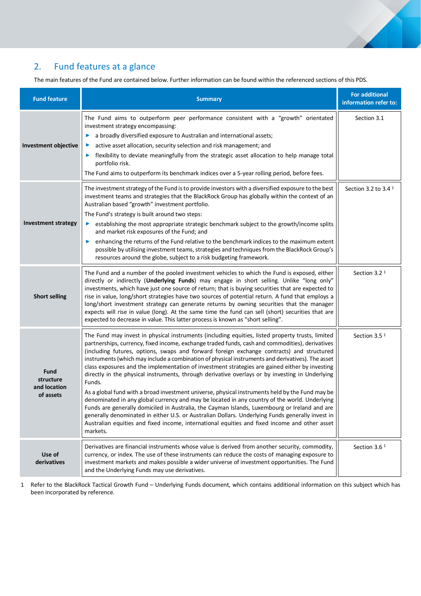

# <span id="page-4-0"></span>2. Fund features at a glance

The main features of the Fund are contained below. Further information can be found within the referenced sections of this PDS.

| <b>Fund feature</b>                            | <b>Summary</b>                                                                                                                                                                                                                                                                                                                                                                                                                                                                                                                                                                                                                                                                                                                                                                                                                                                                                                                                                                                                                                                                                                                            | <b>For additional</b><br>information refer to: |
|------------------------------------------------|-------------------------------------------------------------------------------------------------------------------------------------------------------------------------------------------------------------------------------------------------------------------------------------------------------------------------------------------------------------------------------------------------------------------------------------------------------------------------------------------------------------------------------------------------------------------------------------------------------------------------------------------------------------------------------------------------------------------------------------------------------------------------------------------------------------------------------------------------------------------------------------------------------------------------------------------------------------------------------------------------------------------------------------------------------------------------------------------------------------------------------------------|------------------------------------------------|
| <b>Investment objective</b>                    | The Fund aims to outperform peer performance consistent with a "growth" orientated<br>investment strategy encompassing:<br>a broadly diversified exposure to Australian and international assets;<br>▶<br>active asset allocation, security selection and risk management; and<br>flexibility to deviate meaningfully from the strategic asset allocation to help manage total<br>portfolio risk.<br>The Fund aims to outperform its benchmark indices over a 5-year rolling period, before fees.                                                                                                                                                                                                                                                                                                                                                                                                                                                                                                                                                                                                                                         | Section 3.1                                    |
| <b>Investment strategy</b>                     | The investment strategy of the Fund is to provide investors with a diversified exposure to the best<br>investment teams and strategies that the BlackRock Group has globally within the context of an<br>Australian based "growth" investment portfolio.<br>The Fund's strategy is built around two steps:<br>establishing the most appropriate strategic benchmark subject to the growth/income splits<br>and market risk exposures of the Fund; and<br>enhancing the returns of the Fund relative to the benchmark indices to the maximum extent<br>▶<br>possible by utilising investment teams, strategies and techniques from the BlackRock Group's<br>resources around the globe, subject to a risk budgeting framework.                                                                                                                                                                                                                                                                                                                                                                                                             | Section 3.2 to 3.4 <sup>1</sup>                |
| <b>Short selling</b>                           | The Fund and a number of the pooled investment vehicles to which the Fund is exposed, either<br>directly or indirectly (Underlying Funds) may engage in short selling. Unlike "long only"<br>investments, which have just one source of return; that is buying securities that are expected to<br>rise in value, long/short strategies have two sources of potential return. A fund that employs a<br>long/short investment strategy can generate returns by owning securities that the manager<br>expects will rise in value (long). At the same time the fund can sell (short) securities that are<br>expected to decrease in value. This latter process is known as "short selling".                                                                                                                                                                                                                                                                                                                                                                                                                                                   | Section 3.2 <sup>1</sup>                       |
| Fund<br>structure<br>and location<br>of assets | The Fund may invest in physical instruments (including equities, listed property trusts, limited<br>partnerships, currency, fixed income, exchange traded funds, cash and commodities), derivatives<br>(including futures, options, swaps and forward foreign exchange contracts) and structured<br>instruments (which may include a combination of physical instruments and derivatives). The asset<br>class exposures and the implementation of investment strategies are gained either by investing<br>directly in the physical instruments, through derivative overlays or by investing in Underlying<br>Funds.<br>As a global fund with a broad investment universe, physical instruments held by the Fund may be<br>denominated in any global currency and may be located in any country of the world. Underlying<br>Funds are generally domiciled in Australia, the Cayman Islands, Luxembourg or Ireland and are<br>generally denominated in either U.S. or Australian Dollars. Underlying Funds generally invest in<br>Australian equities and fixed income, international equities and fixed income and other asset<br>markets. | Section 3.5 <sup>1</sup>                       |
| Use of<br>derivatives                          | Derivatives are financial instruments whose value is derived from another security, commodity,<br>currency, or index. The use of these instruments can reduce the costs of managing exposure to<br>investment markets and makes possible a wider universe of investment opportunities. The Fund<br>and the Underlying Funds may use derivatives.                                                                                                                                                                                                                                                                                                                                                                                                                                                                                                                                                                                                                                                                                                                                                                                          | Section 3.6 <sup>1</sup>                       |

1 Refer to the BlackRock Tactical Growth Fund – Underlying Funds document, which contains additional information on this subject which has been incorporated by reference.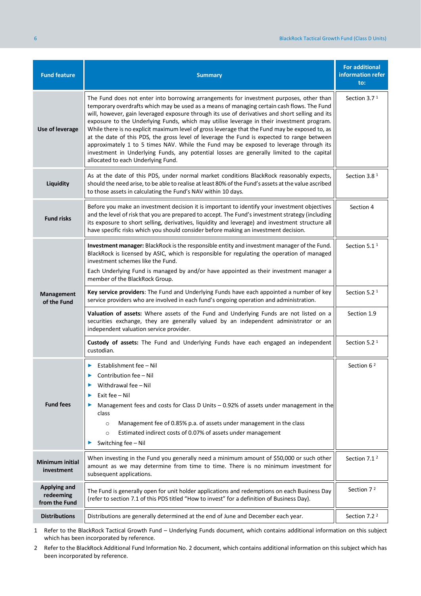| <b>Fund feature</b>                        | <b>Summary</b>                                                                                                                                                                                                                                                                                                                                                                                                                                                                                                                                                                                                                                                                                                                                                                                                    | <b>For additional</b><br>information refer<br>to: |
|--------------------------------------------|-------------------------------------------------------------------------------------------------------------------------------------------------------------------------------------------------------------------------------------------------------------------------------------------------------------------------------------------------------------------------------------------------------------------------------------------------------------------------------------------------------------------------------------------------------------------------------------------------------------------------------------------------------------------------------------------------------------------------------------------------------------------------------------------------------------------|---------------------------------------------------|
| Use of leverage                            | The Fund does not enter into borrowing arrangements for investment purposes, other than<br>temporary overdrafts which may be used as a means of managing certain cash flows. The Fund<br>will, however, gain leveraged exposure through its use of derivatives and short selling and its<br>exposure to the Underlying Funds, which may utilise leverage in their investment program.<br>While there is no explicit maximum level of gross leverage that the Fund may be exposed to, as<br>at the date of this PDS, the gross level of leverage the Fund is expected to range between<br>approximately 1 to 5 times NAV. While the Fund may be exposed to leverage through its<br>investment in Underlying Funds, any potential losses are generally limited to the capital<br>allocated to each Underlying Fund. |                                                   |
| Liquidity                                  | As at the date of this PDS, under normal market conditions BlackRock reasonably expects,<br>should the need arise, to be able to realise at least 80% of the Fund's assets at the value ascribed<br>to those assets in calculating the Fund's NAV within 10 days.                                                                                                                                                                                                                                                                                                                                                                                                                                                                                                                                                 | Section 3.8 <sup>1</sup>                          |
| <b>Fund risks</b>                          | Before you make an investment decision it is important to identify your investment objectives<br>and the level of risk that you are prepared to accept. The Fund's investment strategy (including<br>its exposure to short selling, derivatives, liquidity and leverage) and investment structure all<br>have specific risks which you should consider before making an investment decision.                                                                                                                                                                                                                                                                                                                                                                                                                      | Section 4                                         |
|                                            | Investment manager: BlackRock is the responsible entity and investment manager of the Fund.<br>BlackRock is licensed by ASIC, which is responsible for regulating the operation of managed<br>investment schemes like the Fund.<br>Each Underlying Fund is managed by and/or have appointed as their investment manager a<br>member of the BlackRock Group.                                                                                                                                                                                                                                                                                                                                                                                                                                                       | Section 5.1 <sup>1</sup>                          |
| Management<br>of the Fund                  | Key service providers: The Fund and Underlying Funds have each appointed a number of key<br>service providers who are involved in each fund's ongoing operation and administration.                                                                                                                                                                                                                                                                                                                                                                                                                                                                                                                                                                                                                               | Section 5.2 <sup>1</sup>                          |
|                                            | Valuation of assets: Where assets of the Fund and Underlying Funds are not listed on a<br>securities exchange, they are generally valued by an independent administrator or an<br>independent valuation service provider.                                                                                                                                                                                                                                                                                                                                                                                                                                                                                                                                                                                         | Section 1.9                                       |
|                                            | Custody of assets: The Fund and Underlying Funds have each engaged an independent<br>custodian.                                                                                                                                                                                                                                                                                                                                                                                                                                                                                                                                                                                                                                                                                                                   | Section 5.2 <sup>1</sup>                          |
| <b>Fund fees</b>                           | Establishment fee - Nil<br>▶<br>Contribution fee - Nil<br>Withdrawal fee - Nil<br>▶<br>Exit fee - Nil<br>▶<br>Management fees and costs for Class D Units $-$ 0.92% of assets under management in the<br>class<br>Management fee of 0.85% p.a. of assets under management in the class<br>$\circ$<br>Estimated indirect costs of 0.07% of assets under management<br>$\circ$<br>Switching fee - Nil                                                                                                                                                                                                                                                                                                                                                                                                               | Section 6 <sup>2</sup>                            |
| <b>Minimum initial</b><br>investment       | When investing in the Fund you generally need a minimum amount of \$50,000 or such other<br>amount as we may determine from time to time. There is no minimum investment for<br>subsequent applications.                                                                                                                                                                                                                                                                                                                                                                                                                                                                                                                                                                                                          | Section 7.1 <sup>2</sup>                          |
| Applying and<br>redeeming<br>from the Fund | The Fund is generally open for unit holder applications and redemptions on each Business Day<br>(refer to section 7.1 of this PDS titled "How to invest" for a definition of Business Day).                                                                                                                                                                                                                                                                                                                                                                                                                                                                                                                                                                                                                       | Section 7 <sup>2</sup>                            |
| <b>Distributions</b>                       | Distributions are generally determined at the end of June and December each year.                                                                                                                                                                                                                                                                                                                                                                                                                                                                                                                                                                                                                                                                                                                                 | Section 7.2 <sup>2</sup>                          |

1 Refer to the BlackRock Tactical Growth Fund – Underlying Funds document, which contains additional information on this subject which has been incorporated by reference.

2 Refer to the BlackRock Additional Fund Information No. 2 document, which contains additional information on this subject which has been incorporated by reference.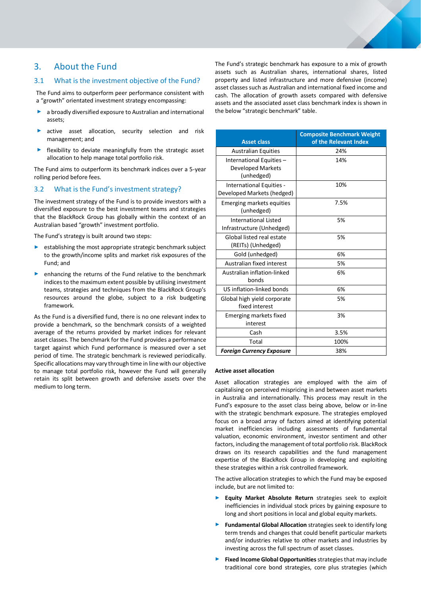# <span id="page-6-0"></span>3. About the Fund

## <span id="page-6-1"></span>3.1 What is the investment objective of the Fund?

The Fund aims to outperform peer performance consistent with a "growth" orientated investment strategy encompassing:

- a broadly diversified exposure to Australian and international assets;
- active asset allocation, security selection and risk management; and
- flexibility to deviate meaningfully from the strategic asset allocation to help manage total portfolio risk.

The Fund aims to outperform its benchmark indices over a 5-year rolling period before fees.

# <span id="page-6-2"></span>3.2 What is the Fund's investment strategy?

The investment strategy of the Fund is to provide investors with a diversified exposure to the best investment teams and strategies that the BlackRock Group has globally within the context of an Australian based "growth" investment portfolio.

The Fund's strategy is built around two steps:

- ► establishing the most appropriate strategic benchmark subject to the growth/income splits and market risk exposures of the Fund; and
- enhancing the returns of the Fund relative to the benchmark indices to the maximum extent possible by utilising investment teams, strategies and techniques from the BlackRock Group's resources around the globe, subject to a risk budgeting framework.

As the Fund is a diversified fund, there is no one relevant index to provide a benchmark, so the benchmark consists of a weighted average of the returns provided by market indices for relevant asset classes. The benchmark for the Fund provides a performance target against which Fund performance is measured over a set period of time. The strategic benchmark is reviewed periodically. Specific allocations may vary through time in line with our objective to manage total portfolio risk, however the Fund will generally retain its split between growth and defensive assets over the medium to long term.

The Fund's strategic benchmark has exposure to a mix of growth assets such as Australian shares, international shares, listed property and listed infrastructure and more defensive (income) asset classes such as Australian and international fixed income and cash. The allocation of growth assets compared with defensive assets and the associated asset class benchmark index is shown in the below "strategic benchmark" table.

| <b>Asset class</b>                                                 | <b>Composite Benchmark Weight</b><br>of the Relevant Index |
|--------------------------------------------------------------------|------------------------------------------------------------|
| <b>Australian Equities</b>                                         | 24%                                                        |
| International Equities -<br><b>Developed Markets</b><br>(unhedged) | 14%                                                        |
| International Equities -<br>Developed Markets (hedged)             | 10%                                                        |
| Emerging markets equities<br>(unhedged)                            | 7.5%                                                       |
| <b>International Listed</b><br>Infrastructure (Unhedged)           | 5%                                                         |
| Global listed real estate<br>(REITs) (Unhedged)                    | 5%                                                         |
| Gold (unhedged)                                                    | 6%                                                         |
| Australian fixed interest                                          | 5%                                                         |
| Australian inflation-linked<br>bonds                               | 6%                                                         |
| US inflation-linked bonds                                          | 6%                                                         |
| Global high yield corporate<br>fixed interest                      | 5%                                                         |
| Emerging markets fixed<br>interest                                 | 3%                                                         |
| Cash                                                               | 3.5%                                                       |
| Total                                                              | 100%                                                       |
| <b>Foreign Currency Exposure</b>                                   | 38%                                                        |

#### **Active asset allocation**

Asset allocation strategies are employed with the aim of capitalising on perceived mispricing in and between asset markets in Australia and internationally. This process may result in the Fund's exposure to the asset class being above, below or in-line with the strategic benchmark exposure. The strategies employed focus on a broad array of factors aimed at identifying potential market inefficiencies including assessments of fundamental valuation, economic environment, investor sentiment and other factors, including the management of total portfolio risk. BlackRock draws on its research capabilities and the fund management expertise of the BlackRock Group in developing and exploiting these strategies within a risk controlled framework.

The active allocation strategies to which the Fund may be exposed include, but are not limited to:

- **Equity Market Absolute Return** strategies seek to exploit inefficiencies in individual stock prices by gaining exposure to long and short positions in local and global equity markets.
- ► **Fundamental Global Allocation** strategies seek to identify long term trends and changes that could benefit particular markets and/or industries relative to other markets and industries by investing across the full spectrum of asset classes.
- ► **Fixed Income Global Opportunities** strategies that may include traditional core bond strategies, core plus strategies (which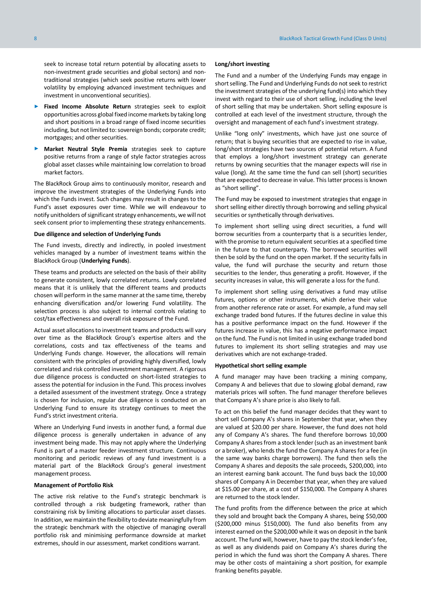seek to increase total return potential by allocating assets to non-investment grade securities and global sectors) and nontraditional strategies (which seek positive returns with lower volatility by employing advanced investment techniques and investment in unconventional securities).

- Fixed Income Absolute Return strategies seek to exploit opportunities across global fixed income markets by taking long and short positions in a broad range of fixed income securities including, but not limited to: sovereign bonds; corporate credit; mortgages; and other securities.
- **Market Neutral Style Premia** strategies seek to capture positive returns from a range of style factor strategies across global asset classes while maintaining low correlation to broad market factors.

The BlackRock Group aims to continuously monitor, research and improve the investment strategies of the Underlying Funds into which the Funds invest. Such changes may result in changes to the Fund's asset exposures over time. While we will endeavour to notify unitholders of significant strategy enhancements, we will not seek consent prior to implementing these strategy enhancements.

#### **Due diligence and selection of Underlying Funds**

The Fund invests, directly and indirectly, in pooled investment vehicles managed by a number of investment teams within the BlackRock Group (**Underlying Funds**).

These teams and products are selected on the basis of their ability to generate consistent, lowly correlated returns. Lowly correlated means that it is unlikely that the different teams and products chosen will perform in the same manner at the same time, thereby enhancing diversification and/or lowering Fund volatility. The selection process is also subject to internal controls relating to cost/tax effectiveness and overall risk exposure of the Fund.

Actual asset allocations to investment teams and products will vary over time as the BlackRock Group's expertise alters and the correlations, costs and tax effectiveness of the teams and Underlying Funds change. However, the allocations will remain consistent with the principles of providing highly diversified, lowly correlated and risk controlled investment management. A rigorous due diligence process is conducted on short-listed strategies to assess the potential for inclusion in the Fund. This process involves a detailed assessment of the investment strategy. Once a strategy is chosen for inclusion, regular due diligence is conducted on an Underlying Fund to ensure its strategy continues to meet the Fund's strict investment criteria.

Where an Underlying Fund invests in another fund, a formal due diligence process is generally undertaken in advance of any investment being made. This may not apply where the Underlying Fund is part of a master feeder investment structure. Continuous monitoring and periodic reviews of any fund investment is a material part of the BlackRock Group's general investment management process.

#### **Management of Portfolio Risk**

The active risk relative to the Fund's strategic benchmark is controlled through a risk budgeting framework, rather than constraining risk by limiting allocations to particular asset classes. In addition, we maintain the flexibility to deviate meaningfully from the strategic benchmark with the objective of managing overall portfolio risk and minimising performance downside at market extremes, should in our assessment, market conditions warrant.

#### **Long/short investing**

The Fund and a number of the Underlying Funds may engage in short selling. The Fund and Underlying Funds do not seek to restrict the investment strategies of the underlying fund(s) into which they invest with regard to their use of short selling, including the level of short selling that may be undertaken. Short selling exposure is controlled at each level of the investment structure, through the oversight and management of each fund's investment strategy.

Unlike "long only" investments, which have just one source of return; that is buying securities that are expected to rise in value, long/short strategies have two sources of potential return. A fund that employs a long/short investment strategy can generate returns by owning securities that the manager expects will rise in value (long). At the same time the fund can sell (short) securities that are expected to decrease in value. This latter process is known as "short selling".

The Fund may be exposed to investment strategies that engage in short selling either directly through borrowing and selling physical securities or synthetically through derivatives.

To implement short selling using direct securities, a fund will borrow securities from a counterparty that is a securities lender, with the promise to return equivalent securities at a specified time in the future to that counterparty. The borrowed securities will then be sold by the fund on the open market. If the security falls in value, the fund will purchase the security and return those securities to the lender, thus generating a profit. However, if the security increases in value, this will generate a loss for the fund.

To implement short selling using derivatives a fund may utilise futures, options or other instruments, which derive their value from another reference rate or asset. For example, a fund may sell exchange traded bond futures. If the futures decline in value this has a positive performance impact on the fund. However if the futures increase in value, this has a negative performance impact on the fund. The Fund is not limited in using exchange traded bond futures to implement its short selling strategies and may use derivatives which are not exchange-traded.

#### **Hypothetical short selling example**

A fund manager may have been tracking a mining company, Company A and believes that due to slowing global demand, raw materials prices will soften. The fund manager therefore believes that Company A's share price is also likely to fall.

To act on this belief the fund manager decides that they want to short sell Company A's shares in September that year, when they are valued at \$20.00 per share. However, the fund does not hold any of Company A's shares. The fund therefore borrows 10,000 Company A shares from a stock lender (such as an investment bank or a broker), who lends the fund the Company A shares for a fee (in the same way banks charge borrowers). The fund then sells the Company A shares and deposits the sale proceeds, \$200,000, into an interest earning bank account. The fund buys back the 10,000 shares of Company A in December that year, when they are valued at \$15.00 per share, at a cost of \$150,000. The Company A shares are returned to the stock lender.

The fund profits from the difference between the price at which they sold and brought back the Company A shares, being \$50,000 (\$200,000 minus \$150,000). The fund also benefits from any interest earned on the \$200,000 while it was on deposit in the bank account. The fund will, however, have to pay the stock lender's fee, as well as any dividends paid on Company A's shares during the period in which the fund was short the Company A shares. There may be other costs of maintaining a short position, for example franking benefits payable.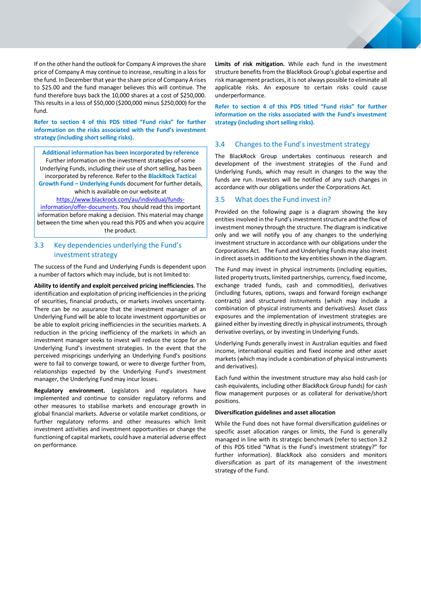If on the other hand the outlook for Company A improves the share price of Company A may continue to increase, resulting in a loss for the fund. In December that year the share price of Company A rises to \$25.00 and the fund manager believes this will continue. The fund therefore buys back the 10,000 shares at a cost of \$250,000. This results in a loss of \$50,000 (\$200,000 minus \$250,000) for the fund.

**Refer to section 4 of this PDS titled "Fund risks" for further information on the risks associated with the Fund's investment strategy (including short selling risks).**

**Additional information has been incorporated by reference** Further information on the investment strategies of some Underlying Funds, including their use of short selling, has been incorporated by reference. Refer to the **BlackRock Tactical Growth Fund – Underlying Funds** document for further details,

which is available on our website at [https://www.blackrock.com/au/individual/funds-](https://www.blackrock.com/au/individual/funds-information/offer-documents)

[information/offer-documents.](https://www.blackrock.com/au/individual/funds-information/offer-documents) You should read this important information before making a decision. This material may change between the time when you read this PDS and when you acquire the product.

# <span id="page-8-0"></span>3.3 Key dependencies underlying the Fund's investment strategy

The success of the Fund and Underlying Funds is dependent upon a number of factors which may include, but is not limited to:

**Ability to identify and exploit perceived pricing inefficiencies**. The identification and exploitation of pricing inefficiencies in the pricing of securities, financial products, or markets involves uncertainty. There can be no assurance that the investment manager of an Underlying Fund will be able to locate investment opportunities or be able to exploit pricing inefficiencies in the securities markets. A reduction in the pricing inefficiency of the markets in which an investment manager seeks to invest will reduce the scope for an Underlying Fund's investment strategies. In the event that the perceived mispricings underlying an Underlying Fund's positions were to fail to converge toward, or were to diverge further from, relationships expected by the Underlying Fund's investment manager, the Underlying Fund may incur losses.

**Regulatory environment.** Legislators and regulators have implemented and continue to consider regulatory reforms and other measures to stabilise markets and encourage growth in global financial markets. Adverse or volatile market conditions, or further regulatory reforms and other measures which limit investment activities and investment opportunities or change the functioning of capital markets, could have a material adverse effect on performance.

**Limits of risk mitigation.** While each fund in the investment structure benefits from the BlackRock Group's global expertise and risk management practices, it is not always possible to eliminate all applicable risks. An exposure to certain risks could cause underperformance.

**Refer to section 4 of this PDS titled "Fund risks" for further information on the risks associated with the Fund's investment strategy (including short selling risks).**

# <span id="page-8-1"></span>3.4 Changes to the Fund's investment strategy

The BlackRock Group undertakes continuous research and development of the investment strategies of the Fund and Underlying Funds, which may result in changes to the way the funds are run. Investors will be notified of any such changes in accordance with our obligations under the Corporations Act.

# <span id="page-8-2"></span>3.5 What does the Fund invest in?

Provided on the following page is a diagram showing the key entities involved in the Fund's investment structure and the flow of investment money through the structure. The diagram is indicative only and we will notify you of any changes to the underlying investment structure in accordance with our obligations under the Corporations Act. The Fund and Underlying Funds may also invest in direct assets in addition to the key entities shown in the diagram.

The Fund may invest in physical instruments (including equities, listed property trusts, limited partnerships, currency, fixed income, exchange traded funds, cash and commodities), derivatives (including futures, options, swaps and forward foreign exchange contracts) and structured instruments (which may include a combination of physical instruments and derivatives). Asset class exposures and the implementation of investment strategies are gained either by investing directly in physical instruments, through derivative overlays, or by investing in Underlying Funds.

Underlying Funds generally invest in Australian equities and fixed income, international equities and fixed income and other asset markets(which may include a combination of physical instruments and derivatives).

Each fund within the investment structure may also hold cash (or cash equivalents, including other BlackRock Group funds) for cash flow management purposes or as collateral for derivative/short positions.

#### **Diversification guidelines and asset allocation**

While the Fund does not have formal diversification guidelines or specific asset allocation ranges or limits, the Fund is generally managed in line with its strategic benchmark (refer to section 3.2 of this PDS titled "What is the Fund's investment strategy?" for further information). BlackRock also considers and monitors diversification as part of its management of the investment strategy of the Fund.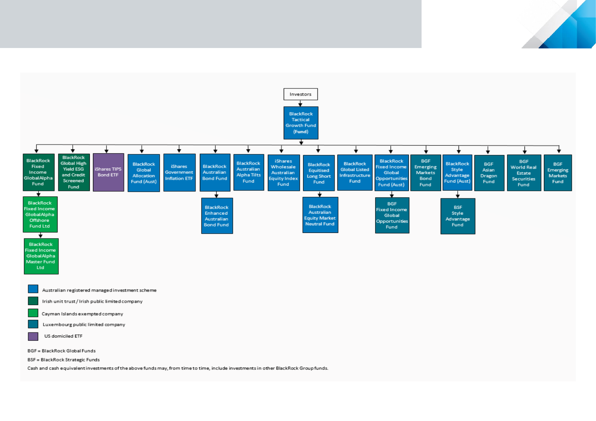

Luxembourg public limited company

US domiciled ETF

BGF = BlackRock Global Funds

**BSF** = BlackRock Strategic Funds

Cash and cash equivalent investments of the above funds may, from time to time, include investments in other BlackRock Group funds.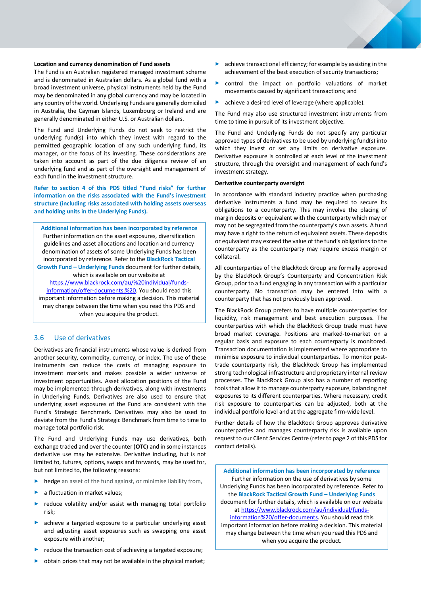#### **Location and currency denomination of Fund assets**

The Fund is an Australian registered managed investment scheme and is denominated in Australian dollars. As a global fund with a broad investment universe, physical instruments held by the Fund may be denominated in any global currency and may be located in any country of the world. Underlying Funds are generally domiciled in Australia, the Cayman Islands, Luxembourg or Ireland and are generally denominated in either U.S. or Australian dollars.

The Fund and Underlying Funds do not seek to restrict the underlying fund(s) into which they invest with regard to the permitted geographic location of any such underlying fund, its manager, or the focus of its investing. These considerations are taken into account as part of the due diligence review of an underlying fund and as part of the oversight and management of each fund in the investment structure.

**Refer to section 4 of this PDS titled "Fund risks" for further information on the risks associated with the Fund's investment structure (including risks associated with holding assets overseas and holding units in the Underlying Funds).** 

**Additional information has been incorporated by reference** Further information on the asset exposures, diversification guidelines and asset allocations and location and currency denomination of assets of some Underlying Funds has been incorporated by reference. Refer to the **BlackRock Tactical Growth Fund – Underlying Funds** document for further details,

which is available on our website at [https://www.blackrock.com/au/%20individual/funds](https://www.blackrock.com/au/%20individual/funds-information/offer-documents.)[information/offer-documents.%20.](https://www.blackrock.com/au/%20individual/funds-information/offer-documents.) You should read this important information before making a decision. This material may change between the time when you read this PDS and when you acquire the product.

#### <span id="page-10-0"></span>3.6 Use of derivatives

Derivatives are financial instruments whose value is derived from another security, commodity, currency, or index. The use of these instruments can reduce the costs of managing exposure to investment markets and makes possible a wider universe of investment opportunities. Asset allocation positions of the Fund may be implemented through derivatives, along with investments in Underlying Funds. Derivatives are also used to ensure that underlying asset exposures of the Fund are consistent with the Fund's Strategic Benchmark. Derivatives may also be used to deviate from the Fund's Strategic Benchmark from time to time to manage total portfolio risk.

The Fund and Underlying Funds may use derivatives, both exchange traded and over the counter (**OTC**) and in some instances derivative use may be extensive. Derivative including, but is not limited to, futures, options, swaps and forwards, may be used for, but not limited to, the following reasons:

- ► hedge an asset of the fund against, or minimise liability from,
- a fluctuation in market values;
- reduce volatility and/or assist with managing total portfolio risk;
- ► achieve a targeted exposure to a particular underlying asset and adjusting asset exposures such as swapping one asset exposure with another;
- reduce the transaction cost of achieving a targeted exposure;
- obtain prices that may not be available in the physical market;
- achieve transactional efficiency; for example by assisting in the achievement of the best execution of security transactions;
- ► control the impact on portfolio valuations of market movements caused by significant transactions; and
- achieve a desired level of leverage (where applicable).

The Fund may also use structured investment instruments from time to time in pursuit of its investment objective.

The Fund and Underlying Funds do not specify any particular approved types of derivatives to be used by underlying fund(s) into which they invest or set any limits on derivative exposure. Derivative exposure is controlled at each level of the investment structure, through the oversight and management of each fund's investment strategy.

#### **Derivative counterparty oversight**

In accordance with standard industry practice when purchasing derivative instruments a fund may be required to secure its obligations to a counterparty. This may involve the placing of margin deposits or equivalent with the counterparty which may or may not be segregated from the counterparty's own assets. A fund may have a right to the return of equivalent assets. These deposits or equivalent may exceed the value of the fund's obligations to the counterparty as the counterparty may require excess margin or collateral.

All counterparties of the BlackRock Group are formally approved by the BlackRock Group's Counterparty and Concentration Risk Group, prior to a fund engaging in any transaction with a particular counterparty. No transaction may be entered into with a counterparty that has not previously been approved.

The BlackRock Group prefers to have multiple counterparties for liquidity, risk management and best execution purposes. The counterparties with which the BlackRock Group trade must have broad market coverage. Positions are marked-to-market on a regular basis and exposure to each counterparty is monitored. Transaction documentation is implemented where appropriate to minimise exposure to individual counterparties. To monitor posttrade counterparty risk, the BlackRock Group has implemented strong technological infrastructure and proprietary internal review processes. The BlackRock Group also has a number of reporting tools that allow it to manage counterparty exposure, balancing net exposures to its different counterparties. Where necessary, credit risk exposure to counterparties can be adjusted, both at the individual portfolio level and at the aggregate firm-wide level.

Further details of how the BlackRock Group approves derivative counterparties and manages counterparty risk is available upon request to our Client Services Centre (refer to page 2 of this PDS for contact details).

**Additional information has been incorporated by reference** Further information on the use of derivatives by some Underlying Funds has been incorporated by reference. Refer to the **BlackRock Tactical Growth Fund – Underlying Funds** document for further details, which is available on our website at [https://www.blackrock.com/au/individual/funds](https://www.blackrock.com/au/individual/funds-information%20/offer-documents)[information%20/offer-documents.](https://www.blackrock.com/au/individual/funds-information%20/offer-documents) You should read this important information before making a decision. This material may change between the time when you read this PDS and

when you acquire the product.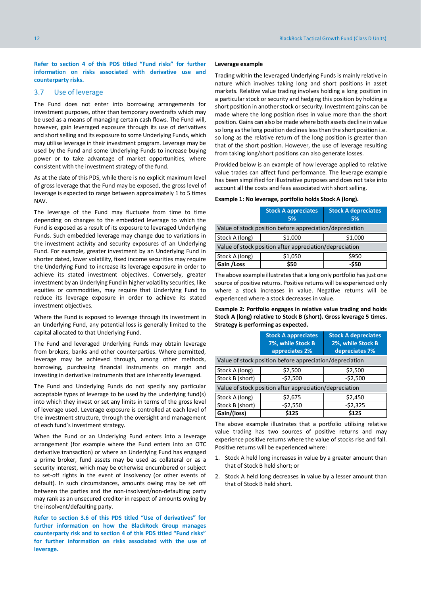**Refer to section 4 of this PDS titled "Fund risks" for further information on risks associated with derivative use and counterparty risks.**

#### <span id="page-11-0"></span>3.7 Use of leverage

The Fund does not enter into borrowing arrangements for investment purposes, other than temporary overdrafts which may be used as a means of managing certain cash flows. The Fund will, however, gain leveraged exposure through its use of derivatives and short selling and its exposure to some Underlying Funds, which may utilise leverage in their investment program. Leverage may be used by the Fund and some Underlying Funds to increase buying power or to take advantage of market opportunities, where consistent with the investment strategy of the fund.

As at the date of this PDS, while there is no explicit maximum level of gross leverage that the Fund may be exposed, the gross level of leverage is expected to range between approximately 1 to 5 times NAV.

The leverage of the Fund may fluctuate from time to time depending on changes to the embedded leverage to which the Fund is exposed as a result of its exposure to leveraged Underlying Funds. Such embedded leverage may change due to variations in the investment activity and security exposures of an Underlying Fund. For example, greater investment by an Underlying Fund in shorter dated, lower volatility, fixed income securities may require the Underlying Fund to increase its leverage exposure in order to achieve its stated investment objectives. Conversely, greater investment by an Underlying Fund in higher volatility securities, like equities or commodities, may require that Underlying Fund to reduce its leverage exposure in order to achieve its stated investment objectives.

Where the Fund is exposed to leverage through its investment in an Underlying Fund, any potential loss is generally limited to the capital allocated to that Underlying Fund.

The Fund and leveraged Underlying Funds may obtain leverage from brokers, banks and other counterparties. Where permitted, leverage may be achieved through, among other methods, borrowing, purchasing financial instruments on margin and investing in derivative instruments that are inherently leveraged.

The Fund and Underlying Funds do not specify any particular acceptable types of leverage to be used by the underlying fund(s) into which they invest or set any limits in terms of the gross level of leverage used. Leverage exposure is controlled at each level of the investment structure, through the oversight and management of each fund's investment strategy.

When the Fund or an Underlying Fund enters into a leverage arrangement (for example where the Fund enters into an OTC derivative transaction) or where an Underlying Fund has engaged a prime broker, fund assets may be used as collateral or as a security interest, which may be otherwise encumbered or subject to set-off rights in the event of insolvency (or other events of default). In such circumstances, amounts owing may be set off between the parties and the non-insolvent/non-defaulting party may rank as an unsecured creditor in respect of amounts owing by the insolvent/defaulting party.

**Refer to section 3.6 of this PDS titled "Use of derivatives" for further information on how the BlackRock Group manages counterparty risk and to section 4 of this PDS titled "Fund risks" for further information on risks associated with the use of leverage.**

#### **Leverage example**

Trading within the leveraged Underlying Funds is mainly relative in nature which involves taking long and short positions in asset markets. Relative value trading involves holding a long position in a particular stock or security and hedging this position by holding a short position in another stock or security. Investment gains can be made where the long position rises in value more than the short position. Gains can also be made where both assets decline in value so long as the long position declines less than the short position i.e. so long as the relative return of the long position is greater than that of the short position. However, the use of leverage resulting from taking long/short positions can also generate losses.

Provided below is an example of how leverage applied to relative value trades can affect fund performance. The leverage example has been simplified for illustrative purposes and does not take into account all the costs and fees associated with short selling.

# **Example 1: No leverage, portfolio holds Stock A (long).**

|                                                          | <b>Stock A appreciates</b><br>5% | <b>Stock A depreciates</b><br>5% |  |  |  |
|----------------------------------------------------------|----------------------------------|----------------------------------|--|--|--|
| Value of stock position before appreciation/depreciation |                                  |                                  |  |  |  |
| Stock A (long)<br>\$1,000<br>\$1,000                     |                                  |                                  |  |  |  |
| Value of stock position after appreciation/depreciation  |                                  |                                  |  |  |  |
| Stock A (long)                                           | \$1,050                          | \$950                            |  |  |  |
| Gain / Loss                                              | \$50                             | $-550$                           |  |  |  |

The above example illustrates that a long only portfolio has just one source of positive returns. Positive returns will be experienced only where a stock increases in value. Negative returns will be experienced where a stock decreases in value.

**Example 2: Portfolio engages in relative value trading and holds Stock A (long) relative to Stock B (short). Gross leverage 5 times. Strategy is performing as expected.**

|                                                          | <b>Stock A appreciates</b><br>7%, while Stock B<br>appreciates 2% | <b>Stock A depreciates</b><br>2%, while Stock B<br>depreciates 7% |  |  |  |
|----------------------------------------------------------|-------------------------------------------------------------------|-------------------------------------------------------------------|--|--|--|
| Value of stock position before appreciation/depreciation |                                                                   |                                                                   |  |  |  |
| Stock A (long)                                           | \$2,500                                                           | \$2,500                                                           |  |  |  |
| Stock B (short)                                          | $-52,500$                                                         | $-52,500$                                                         |  |  |  |
| Value of stock position after appreciation/depreciation  |                                                                   |                                                                   |  |  |  |
| Stock A (long)                                           | \$2,675                                                           | \$2,450                                                           |  |  |  |
| Stock B (short)                                          | $-52,550$                                                         | $-52,325$                                                         |  |  |  |
| Gain/(loss)                                              | \$125                                                             | \$125                                                             |  |  |  |

The above example illustrates that a portfolio utilising relative value trading has two sources of positive returns and may experience positive returns where the value of stocks rise and fall. Positive returns will be experienced where:

- 1. Stock A held long increases in value by a greater amount than that of Stock B held short; or
- 2. Stock A held long decreases in value by a lesser amount than that of Stock B held short.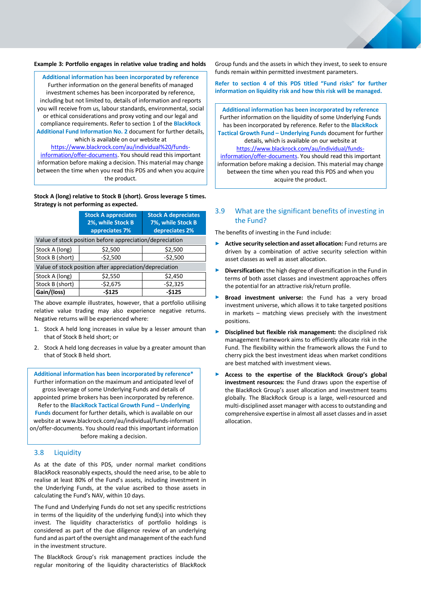#### **Example 3: Portfolio engages in relative value trading and holds**

**Additional information has been incorporated by reference** Further information on the general benefits of managed investment schemes has been incorporated by reference, including but not limited to, details of information and reports you will receive from us, labour standards, environmental, social or ethical considerations and proxy voting and our legal and compliance requirements. Refer to section 1 of the **BlackRock Additional Fund Information No. 2** document for further details, which is available on our website at [https://www.blackrock.com/au/individual%20/funds-](https://www.blackrock.com/au/individual%20/funds-information/offer-documents)

[information/offer-documents.](https://www.blackrock.com/au/individual%20/funds-information/offer-documents) You should read this important information before making a decision. This material may change between the time when you read this PDS and when you acquire the product.

#### **Stock A (long) relative to Stock B (short). Gross leverage 5 times. Strategy is not performing as expected.**

|                                                         | <b>Stock A appreciates</b><br>2%, while Stock B<br>appreciates 7% | <b>Stock A depreciates</b><br>7%, while Stock B<br>depreciates 2% |  |  |  |  |
|---------------------------------------------------------|-------------------------------------------------------------------|-------------------------------------------------------------------|--|--|--|--|
|                                                         | Value of stock position before appreciation/depreciation          |                                                                   |  |  |  |  |
| Stock A (long)                                          | \$2,500                                                           | \$2,500                                                           |  |  |  |  |
| Stock B (short)                                         | $-52,500$                                                         | $-52,500$                                                         |  |  |  |  |
| Value of stock position after appreciation/depreciation |                                                                   |                                                                   |  |  |  |  |
| Stock A (long)                                          | \$2,550                                                           | \$2,450                                                           |  |  |  |  |
| Stock B (short)                                         | $-52,675$                                                         | $-52,325$                                                         |  |  |  |  |
| Gain/(loss)                                             | $-5125$                                                           | $-5125$                                                           |  |  |  |  |

The above example illustrates, however, that a portfolio utilising relative value trading may also experience negative returns. Negative returns will be experienced where:

- 1. Stock A held long increases in value by a lesser amount than that of Stock B held short; or
- 2. Stock A held long decreases in value by a greater amount than that of Stock B held short.

**Additional information has been incorporated by reference\*** Further information on the maximum and anticipated level of gross leverage of some Underlying Funds and details of appointed prime brokers has been incorporated by reference. Refer to the **BlackRock Tactical Growth Fund – Underlying Funds** document for further details, which is available on our website at www.blackrock.com/au/individual/funds-informati on/offer-documents. You should read this important information before making a decision.

# <span id="page-12-0"></span>3.8 Liquidity

As at the date of this PDS, under normal market conditions BlackRock reasonably expects, should the need arise, to be able to realise at least 80% of the Fund's assets, including investment in the Underlying Funds, at the value ascribed to those assets in calculating the Fund's NAV, within 10 days.

The Fund and Underlying Funds do not set any specific restrictions in terms of the liquidity of the underlying fund(s) into which they invest. The liquidity characteristics of portfolio holdings is considered as part of the due diligence review of an underlying fund and as part of the oversight and management of the each fund in the investment structure.

The BlackRock Group's risk management practices include the regular monitoring of the liquidity characteristics of BlackRock

Group funds and the assets in which they invest, to seek to ensure funds remain within permitted investment parameters.

**Refer to section 4 of this PDS titled "Fund risks" for further information on liquidity risk and how this risk will be managed.**

**Additional information has been incorporated by reference** Further information on the liquidity of some Underlying Funds has been incorporated by reference. Refer to the **BlackRock Tactical Growth Fund – Underlying Funds** document for further details, which is available on our website at [https://www.blackrock.com/au/individual/funds-](https://www.blackrock.com/au/individual/funds-information/offer-documents)

[information/offer-documents.](https://www.blackrock.com/au/individual/funds-information/offer-documents) You should read this important information before making a decision. This material may change between the time when you read this PDS and when you acquire the product.

# <span id="page-12-1"></span>3.9 What are the significant benefits of investing in the Fund?

The benefits of investing in the Fund include:

- ► **Active security selection and asset allocation:** Fund returns are driven by a combination of active security selection within asset classes as well as asset allocation.
- ► **Diversification:** the high degree of diversification in the Fund in terms of both asset classes and investment approaches offers the potential for an attractive risk/return profile.
- Broad investment universe: the Fund has a very broad investment universe, which allows it to take targeted positions in markets – matching views precisely with the investment positions.
- ► **Disciplined but flexible risk management:** the disciplined risk management framework aims to efficiently allocate risk in the Fund. The flexibility within the framework allows the Fund to cherry pick the best investment ideas when market conditions are best matched with investment views.
- ► **Access to the expertise of the BlackRock Group's global investment resources:** the Fund draws upon the expertise of the BlackRock Group's asset allocation and investment teams globally. The BlackRock Group is a large, well-resourced and multi-disciplined asset manager with access to outstanding and comprehensive expertise in almost all asset classes and in asset allocation.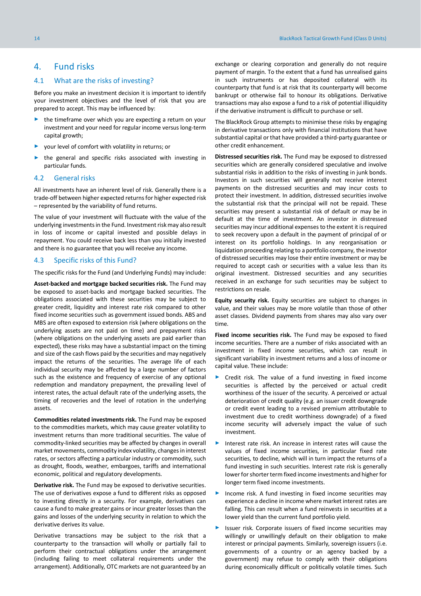# <span id="page-13-0"></span>4. Fund risks

#### <span id="page-13-1"></span>4.1 What are the risks of investing?

Before you make an investment decision it is important to identify your investment objectives and the level of risk that you are prepared to accept. This may be influenced by:

- the timeframe over which you are expecting a return on your investment and your need for regular income versus long-term capital growth;
- ► your level of comfort with volatility in returns; or
- the general and specific risks associated with investing in particular funds.

#### <span id="page-13-2"></span>4.2 General risks

All investments have an inherent level of risk. Generally there is a trade-off between higher expected returns for higher expected risk – represented by the variability of fund returns.

The value of your investment will fluctuate with the value of the underlying investments in the Fund. Investment risk may also result in loss of income or capital invested and possible delays in repayment. You could receive back less than you initially invested and there is no guarantee that you will receive any income.

# <span id="page-13-3"></span>4.3 Specific risks of this Fund?

The specific risks for the Fund (and Underlying Funds) may include:

**Asset-backed and mortgage backed securities risk.** The Fund may be exposed to asset-backs and mortgage backed securities. The obligations associated with these securities may be subject to greater credit, liquidity and interest rate risk compared to other fixed income securities such as government issued bonds. ABS and MBS are often exposed to extension risk (where obligations on the underlying assets are not paid on time) and prepayment risks (where obligations on the underlying assets are paid earlier than expected), these risks may have a substantial impact on the timing and size of the cash flows paid by the securities and may negatively impact the returns of the securities. The average life of each individual security may be affected by a large number of factors such as the existence and frequency of exercise of any optional redemption and mandatory prepayment, the prevailing level of interest rates, the actual default rate of the underlying assets, the timing of recoveries and the level of rotation in the underlying assets.

**Commodities related investments risk.** The Fund may be exposed to the commodities markets, which may cause greater volatility to investment returns than more traditional securities. The value of commodity-linked securities may be affected by changes in overall market movements, commodity index volatility, changes in interest rates, or sectors affecting a particular industry or commodity, such as drought, floods, weather, embargoes, tariffs and international economic, political and regulatory developments.

**Derivative risk.** The Fund may be exposed to derivative securities. The use of derivatives expose a fund to different risks as opposed to investing directly in a security. For example, derivatives can cause a fund to make greater gains or incur greater losses than the gains and losses of the underlying security in relation to which the derivative derives its value.

Derivative transactions may be subject to the risk that a counterparty to the transaction will wholly or partially fail to perform their contractual obligations under the arrangement (including failing to meet collateral requirements under the arrangement). Additionally, OTC markets are not guaranteed by an exchange or clearing corporation and generally do not require payment of margin. To the extent that a fund has unrealised gains in such instruments or has deposited collateral with its counterparty that fund is at risk that its counterparty will become bankrupt or otherwise fail to honour its obligations. Derivative transactions may also expose a fund to a risk of potential illiquidity if the derivative instrument is difficult to purchase or sell.

The BlackRock Group attempts to minimise these risks by engaging in derivative transactions only with financial institutions that have substantial capital or that have provided a third-party guarantee or other credit enhancement.

**Distressed securities risk.** The Fund may be exposed to distressed securities which are generally considered speculative and involve substantial risks in addition to the risks of investing in junk bonds. Investors in such securities will generally not receive interest payments on the distressed securities and may incur costs to protect their investment. In addition, distressed securities involve the substantial risk that the principal will not be repaid. These securities may present a substantial risk of default or may be in default at the time of investment. An investor in distressed securities may incur additional expenses to the extent it is required to seek recovery upon a default in the payment of principal of or interest on its portfolio holdings. In any reorganisation or liquidation proceeding relating to a portfolio company, the investor of distressed securities may lose their entire investment or may be required to accept cash or securities with a value less than its original investment. Distressed securities and any securities received in an exchange for such securities may be subject to restrictions on resale.

**Equity security risk.** Equity securities are subject to changes in value, and their values may be more volatile than those of other asset classes. Dividend payments from shares may also vary over time.

**Fixed income securities risk.** The Fund may be exposed to fixed income securities. There are a number of risks associated with an investment in fixed income securities, which can result in significant variability in investment returns and a loss of income or capital value. These include:

- ► Credit risk. The value of a fund investing in fixed income securities is affected by the perceived or actual credit worthiness of the issuer of the security. A perceived or actual deterioration of credit quality (e.g. an issuer credit downgrade or credit event leading to a revised premium attributable to investment due to credit worthiness downgrade) of a fixed income security will adversely impact the value of such investment.
- Interest rate risk. An increase in interest rates will cause the values of fixed income securities, in particular fixed rate securities, to decline, which will in turn impact the returns of a fund investing in such securities. Interest rate risk is generally lower for shorter term fixed income investments and higher for longer term fixed income investments.
- Income risk. A fund investing in fixed income securities may experience a decline in income where market interest rates are falling. This can result when a fund reinvests in securities at a lower yield than the current fund portfolio yield.
- Issuer risk. Corporate issuers of fixed income securities may willingly or unwillingly default on their obligation to make interest or principal payments. Similarly, sovereign issuers (i.e. governments of a country or an agency backed by a government) may refuse to comply with their obligations during economically difficult or politically volatile times. Such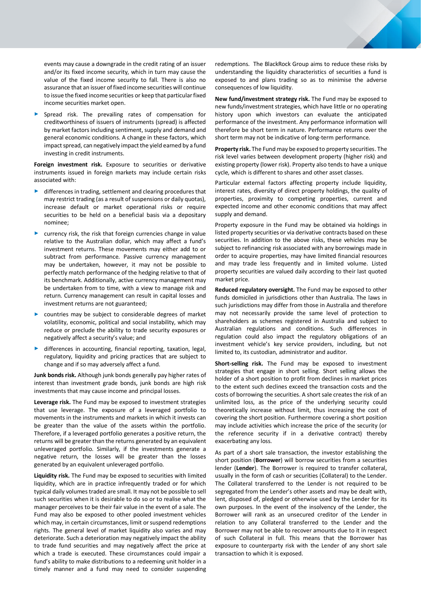events may cause a downgrade in the credit rating of an issuer and/or its fixed income security, which in turn may cause the value of the fixed income security to fall. There is also no assurance that an issuer of fixed income securities will continue to issue the fixed income securities or keep that particular fixed income securities market open.

Spread risk. The prevailing rates of compensation for creditworthiness of issuers of instruments (spread) is affected by market factors including sentiment, supply and demand and general economic conditions. A change in these factors, which impact spread, can negatively impact the yield earned by a fund investing in credit instruments.

**Foreign investment risk.** Exposure to securities or derivative instruments issued in foreign markets may include certain risks associated with:

- differences in trading, settlement and clearing procedures that may restrict trading (as a result of suspensions or daily quotas), increase default or market operational risks or require securities to be held on a beneficial basis via a depositary nominee;
- currency risk, the risk that foreign currencies change in value relative to the Australian dollar, which may affect a fund's investment returns. These movements may either add to or subtract from performance. Passive currency management may be undertaken, however, it may not be possible to perfectly match performance of the hedging relative to that of its benchmark. Additionally, active currency management may be undertaken from to time, with a view to manage risk and return. Currency management can result in capital losses and investment returns are not guaranteed;
- countries may be subject to considerable degrees of market volatility, economic, political and social instability, which may reduce or preclude the ability to trade security exposures or negatively affect a security's value; and
- differences in accounting, financial reporting, taxation, legal, regulatory, liquidity and pricing practices that are subject to change and if so may adversely affect a fund.

**Junk bonds risk.** Although junk bonds generally pay higher rates of interest than investment grade bonds, junk bonds are high risk investments that may cause income and principal losses.

**Leverage risk.** The Fund may be exposed to investment strategies that use leverage. The exposure of a leveraged portfolio to movements in the instruments and markets in which it invests can be greater than the value of the assets within the portfolio. Therefore, if a leveraged portfolio generates a positive return, the returns will be greater than the returns generated by an equivalent unleveraged portfolio. Similarly, if the investments generate a negative return, the losses will be greater than the losses generated by an equivalent unleveraged portfolio.

**Liquidity risk.** The Fund may be exposed to securities with limited liquidity, which are in practice infrequently traded or for which typical daily volumes traded are small. It may not be possible to sell such securities when it is desirable to do so or to realise what the manager perceives to be their fair value in the event of a sale. The Fund may also be exposed to other pooled investment vehicles which may, in certain circumstances, limit or suspend redemptions rights. The general level of market liquidity also varies and may deteriorate. Such a deterioration may negatively impact the ability to trade fund securities and may negatively affect the price at which a trade is executed. These circumstances could impair a fund's ability to make distributions to a redeeming unit holder in a timely manner and a fund may need to consider suspending

redemptions. The BlackRock Group aims to reduce these risks by understanding the liquidity characteristics of securities a fund is exposed to and plans trading so as to minimise the adverse consequences of low liquidity.

**New fund/investment strategy risk.** The Fund may be exposed to new funds/investment strategies, which have little or no operating history upon which investors can evaluate the anticipated performance of the investment. Any performance information will therefore be short term in nature. Performance returns over the short term may not be indicative of long-term performance.

**Property risk.** The Fund may be exposed to property securities. The risk level varies between development property (higher risk) and existing property (lower risk). Property also tends to have a unique cycle, which is different to shares and other asset classes.

Particular external factors affecting property include liquidity, interest rates, diversity of direct property holdings, the quality of properties, proximity to competing properties, current and expected income and other economic conditions that may affect supply and demand.

Property exposure in the Fund may be obtained via holdings in listed property securities or via derivative contracts based on these securities. In addition to the above risks, these vehicles may be subject to refinancing risk associated with any borrowings made in order to acquire properties, may have limited financial resources and may trade less frequently and in limited volume. Listed property securities are valued daily according to their last quoted market price.

**Reduced regulatory oversight.** The Fund may be exposed to other funds domiciled in jurisdictions other than Australia. The laws in such jurisdictions may differ from those in Australia and therefore may not necessarily provide the same level of protection to shareholders as schemes registered in Australia and subject to Australian regulations and conditions. Such differences in regulation could also impact the regulatory obligations of an investment vehicle's key service providers, including, but not limited to, its custodian, administrator and auditor.

**Short-selling risk.** The Fund may be exposed to investment strategies that engage in short selling. Short selling allows the holder of a short position to profit from declines in market prices to the extent such declines exceed the transaction costs and the costs of borrowing the securities. A short sale creates the risk of an unlimited loss, as the price of the underlying security could theoretically increase without limit, thus increasing the cost of covering the short position. Furthermore covering a short position may include activities which increase the price of the security (or the reference security if in a derivative contract) thereby exacerbating any loss.

As part of a short sale transaction, the investor establishing the short position (**Borrower**) will borrow securities from a securities lender (**Lender**). The Borrower is required to transfer collateral, usually in the form of cash or securities (Collateral) to the Lender. The Collateral transferred to the Lender is not required to be segregated from the Lender's other assets and may be dealt with, lent, disposed of, pledged or otherwise used by the Lender for its own purposes. In the event of the insolvency of the Lender, the Borrower will rank as an unsecured creditor of the Lender in relation to any Collateral transferred to the Lender and the Borrower may not be able to recover amounts due to it in respect of such Collateral in full. This means that the Borrower has exposure to counterparty risk with the Lender of any short sale transaction to which it is exposed.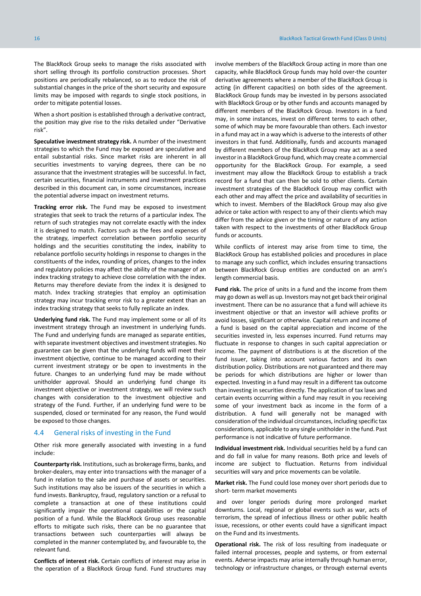The BlackRock Group seeks to manage the risks associated with short selling through its portfolio construction processes. Short positions are periodically rebalanced, so as to reduce the risk of substantial changes in the price of the short security and exposure limits may be imposed with regards to single stock positions, in order to mitigate potential losses.

When a short position is established through a derivative contract, the position may give rise to the risks detailed under "Derivative risk".

**Speculative investment strategy risk.** A number of the investment strategies to which the Fund may be exposed are speculative and entail substantial risks. Since market risks are inherent in all securities investments to varying degrees, there can be no assurance that the investment strategies will be successful. In fact, certain securities, financial instruments and investment practices described in this document can, in some circumstances, increase the potential adverse impact on investment returns.

**Tracking error risk.** The Fund may be exposed to investment strategies that seek to track the returns of a particular index. The return of such strategies may not correlate exactly with the index it is designed to match. Factors such as the fees and expenses of the strategy, imperfect correlation between portfolio security holdings and the securities constituting the index, inability to rebalance portfolio security holdings in response to changes in the constituents of the index, rounding of prices, changes to the index and regulatory policies may affect the ability of the manager of an index tracking strategy to achieve close correlation with the index. Returns may therefore deviate from the index it is designed to match. Index tracking strategies that employ an optimisation strategy may incur tracking error risk to a greater extent than an index tracking strategy that seeks to fully replicate an index.

**Underlying fund risk.** The Fund may implement some or all of its investment strategy through an investment in underlying funds. The Fund and underlying funds are managed as separate entities, with separate investment objectives and investment strategies. No guarantee can be given that the underlying funds will meet their investment objective, continue to be managed according to their current investment strategy or be open to investments in the future. Changes to an underlying fund may be made without unitholder approval. Should an underlying fund change its investment objective or investment strategy, we will review such changes with consideration to the investment objective and strategy of the Fund. Further, if an underlying fund were to be suspended, closed or terminated for any reason, the Fund would be exposed to those changes.

#### <span id="page-15-0"></span>4.4 General risks of investing in the Fund

Other risk more generally associated with investing in a fund include:

**Counterparty risk.** Institutions, such as brokerage firms, banks, and broker-dealers, may enter into transactions with the manager of a fund in relation to the sale and purchase of assets or securities. Such institutions may also be issuers of the securities in which a fund invests. Bankruptcy, fraud, regulatory sanction or a refusal to complete a transaction at one of these institutions could significantly impair the operational capabilities or the capital position of a fund. While the BlackRock Group uses reasonable efforts to mitigate such risks, there can be no guarantee that transactions between such counterparties will always be completed in the manner contemplated by, and favourable to, the relevant fund.

**Conflicts of interest risk.** Certain conflicts of interest may arise in the operation of a BlackRock Group fund. Fund structures may involve members of the BlackRock Group acting in more than one capacity, while BlackRock Group funds may hold over-the counter derivative agreements where a member of the BlackRock Group is acting (in different capacities) on both sides of the agreement. BlackRock Group funds may be invested in by persons associated with BlackRock Group or by other funds and accounts managed by different members of the BlackRock Group. Investors in a fund may, in some instances, invest on different terms to each other, some of which may be more favourable than others. Each investor in a fund may act in a way which is adverse to the interests of other investors in that fund. Additionally, funds and accounts managed by different members of the BlackRock Group may act as a seed investor in a BlackRock Group fund, which may create a commercial opportunity for the BlackRock Group. For example, a seed investment may allow the BlackRock Group to establish a track record for a fund that can then be sold to other clients. Certain investment strategies of the BlackRock Group may conflict with each other and may affect the price and availability of securities in which to invest. Members of the BlackRock Group may also give advice or take action with respect to any of their clients which may differ from the advice given or the timing or nature of any action taken with respect to the investments of other BlackRock Group funds or accounts.

While conflicts of interest may arise from time to time, the BlackRock Group has established policies and procedures in place to manage any such conflict, which includes ensuring transactions between BlackRock Group entities are conducted on an arm's length commercial basis.

**Fund risk.** The price of units in a fund and the income from them may go down as well as up. Investors may not get back their original investment. There can be no assurance that a fund will achieve its investment objective or that an investor will achieve profits or avoid losses, significant or otherwise. Capital return and income of a fund is based on the capital appreciation and income of the securities invested in, less expenses incurred. Fund returns may fluctuate in response to changes in such capital appreciation or income. The payment of distributions is at the discretion of the fund issuer, taking into account various factors and its own distribution policy. Distributions are not guaranteed and there may be periods for which distributions are higher or lower than expected. Investing in a fund may result in a different tax outcome than investing in securities directly. The application of tax laws and certain events occurring within a fund may result in you receiving some of your investment back as income in the form of a distribution. A fund will generally not be managed with consideration of the individual circumstances, including specific tax considerations, applicable to any single unitholder in the fund. Past performance is not indicative of future performance.

**Individual investment risk.** Individual securities held by a fund can and do fall in value for many reasons. Both price and levels of income are subject to fluctuation. Returns from individual securities will vary and price movements can be volatile.

**Market risk.** The Fund could lose money over short periods due to short- term market movements

and over longer periods during more prolonged market downturns. Local, regional or global events such as war, acts of terrorism, the spread of infectious illness or other public health issue, recessions, or other events could have a significant impact on the Fund and its investments.

**Operational risk.** The risk of loss resulting from inadequate or failed internal processes, people and systems, or from external events. Adverse impacts may arise internally through human error, technology or infrastructure changes, or through external events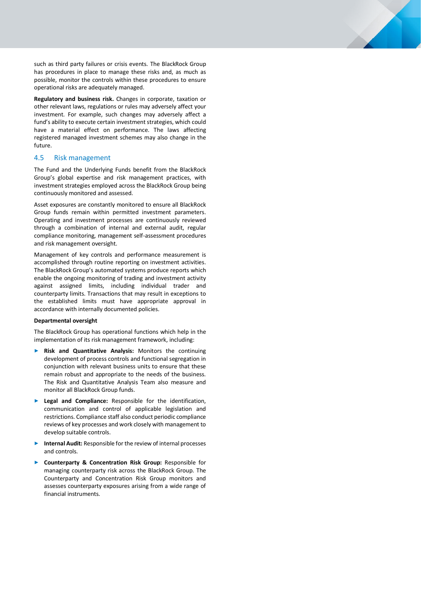such as third party failures or crisis events. The BlackRock Group has procedures in place to manage these risks and, as much as possible, monitor the controls within these procedures to ensure operational risks are adequately managed.

**Regulatory and business risk.** Changes in corporate, taxation or other relevant laws, regulations or rules may adversely affect your investment. For example, such changes may adversely affect a fund's ability to execute certain investment strategies, which could have a material effect on performance. The laws affecting registered managed investment schemes may also change in the future.

# <span id="page-16-0"></span>4.5 Risk management

The Fund and the Underlying Funds benefit from the BlackRock Group's global expertise and risk management practices, with investment strategies employed across the BlackRock Group being continuously monitored and assessed.

Asset exposures are constantly monitored to ensure all BlackRock Group funds remain within permitted investment parameters. Operating and investment processes are continuously reviewed through a combination of internal and external audit, regular compliance monitoring, management self-assessment procedures and risk management oversight.

Management of key controls and performance measurement is accomplished through routine reporting on investment activities. The BlackRock Group's automated systems produce reports which enable the ongoing monitoring of trading and investment activity against assigned limits, including individual trader and counterparty limits. Transactions that may result in exceptions to the established limits must have appropriate approval in accordance with internally documented policies.

#### **Departmental oversight**

The BlackRock Group has operational functions which help in the implementation of its risk management framework, including:

- ► **Risk and Quantitative Analysis:** Monitors the continuing development of process controls and functional segregation in conjunction with relevant business units to ensure that these remain robust and appropriate to the needs of the business. The Risk and Quantitative Analysis Team also measure and monitor all BlackRock Group funds.
- Legal and Compliance: Responsible for the identification, communication and control of applicable legislation and restrictions. Compliance staff also conduct periodic compliance reviews of key processes and work closely with management to develop suitable controls.
- Internal Audit: Responsible for the review of internal processes and controls.
- ► **Counterparty & Concentration Risk Group:** Responsible for managing counterparty risk across the BlackRock Group. The Counterparty and Concentration Risk Group monitors and assesses counterparty exposures arising from a wide range of financial instruments.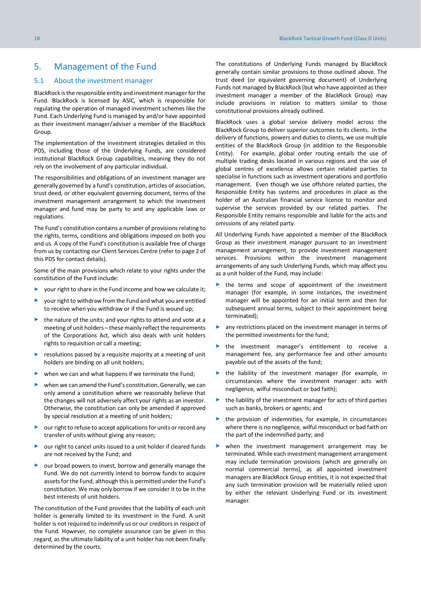# <span id="page-17-0"></span>5. Management of the Fund

#### <span id="page-17-1"></span>5.1 About the investment manager

BlackRock is the responsible entity and investment manager for the Fund. BlackRock is licensed by ASIC, which is responsible for regulating the operation of managed investment schemes like the Fund. Each Underlying Fund is managed by and/or have appointed as their investment manager/adviser a member of the BlackRock Group

The implementation of the investment strategies detailed in this PDS, including those of the Underlying Funds, are considered institutional BlackRock Group capabilities, meaning they do not rely on the involvement of any particular individual.

The responsibilities and obligations of an investment manager are generally governed by a fund's constitution, articles of association, trust deed, or other equivalent governing document, terms of the investment management arrangement to which the investment manager and fund may be party to and any applicable laws or regulations.

The Fund's constitution contains a number of provisions relating to the rights, terms, conditions and obligations imposed on both you and us. A copy of the Fund's constitution is available free of charge from us by contacting our Client Services Centre (refer to page 2 of this PDS for contact details).

Some of the main provisions which relate to your rights under the constitution of the Fund include:

- ► your right to share in the Fund income and how we calculate it;
- your right to withdraw from the Fund and what you are entitled to receive when you withdraw or if the Fund is wound up;
- ► the nature of the units; and your rights to attend and vote at a meeting of unit holders – these mainly reflect the requirements of the Corporations Act, which also deals with unit holders rights to requisition or call a meeting;
- resolutions passed by a requisite majority at a meeting of unit holders are binding on all unit holders;
- when we can and what happens if we terminate the Fund;
- when we can amend the Fund's constitution. Generally, we can only amend a constitution where we reasonably believe that the changes will not adversely affect your rights as an investor. Otherwise, the constitution can only be amended if approved by special resolution at a meeting of unit holders;
- our right to refuse to accept applications for units or record any transfer of units without giving any reason;
- ► our right to cancel units issued to a unit holder if cleared funds are not received by the Fund; and
- our broad powers to invest, borrow and generally manage the Fund. We do not currently intend to borrow funds to acquire assets for the Fund, although this is permitted under the Fund's constitution. We may only borrow if we consider it to be in the best interests of unit holders.

The constitution of the Fund provides that the liability of each unit holder is generally limited to its investment in the Fund. A unit holder is not required to indemnify us or our creditors in respect of the Fund. However, no complete assurance can be given in this regard, as the ultimate liability of a unit holder has not been finally determined by the courts.

The constitutions of Underlying Funds managed by BlackRock generally contain similar provisions to those outlined above. The trust deed (or equivalent governing document) of Underlying Funds not managed by BlackRock (but who have appointed as their investment manager a member of the BlackRock Group) may include provisions in relation to matters similar to those constitutional provisions already outlined.

BlackRock uses a global service delivery model across the BlackRock Group to deliver superior outcomes to its clients. In the delivery of functions, powers and duties to clients, we use multiple entities of the BlackRock Group (in addition to the Responsible Entity). For example, global order routing entails the use of multiple trading desks located in various regions and the use of global centres of excellence allows certain related parties to specialise in functions such as investment operations and portfolio management. Even though we use offshore related parties, the Responsible Entity has systems and procedures in place as the holder of an Australian financial service licence to monitor and supervise the services provided by our related parties. The Responsible Entity remains responsible and liable for the acts and omissions of any related party.

All Underlying Funds have appointed a member of the BlackRock Group as their investment manager pursuant to an investment management arrangement, to provide investment management services. Provisions within the investment management arrangements of any such Underlying Funds, which may affect you as a unit holder of the Fund, may include:

- the terms and scope of appointment of the investment manager (for example, in some instances, the investment manager will be appointed for an initial term and then for subsequent annual terms, subject to their appointment being terminated);
- ► any restrictions placed on the investment manager in terms of the permitted investments for the fund;
- the investment manager's entitlement to receive a management fee, any performance fee and other amounts payable out of the assets of the fund;
- the liability of the investment manager (for example, in circumstances where the investment manager acts with negligence, wilful misconduct or bad faith);
- ► the liability of the investment manager for acts of third parties such as banks, brokers or agents; and
- the provision of indemnities, for example, in circumstances where there is no negligence, wilful misconduct or bad faith on the part of the indemnified party; and
- when the investment management arrangement may be terminated. While each investment management arrangement may include termination provisions (which are generally on normal commercial terms), as all appointed investment managers are BlackRock Group entities, it is not expected that any such termination provision will be materially relied upon by either the relevant Underlying Fund or its investment manager.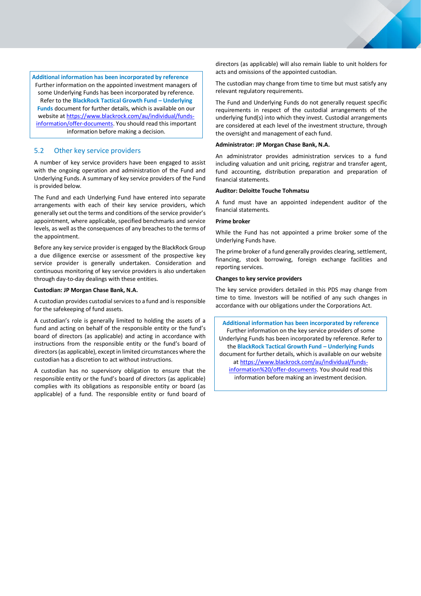**Additional information has been incorporated by reference** Further information on the appointed investment managers of some Underlying Funds has been incorporated by reference. Refer to the **BlackRock Tactical Growth Fund – Underlying Funds** document for further details, which is available on our website a[t https://www.blackrock.com/au/individual/funds](https://www.blackrock.com/au/individual/funds-information/offer-documents)[information/offer-documents.](https://www.blackrock.com/au/individual/funds-information/offer-documents) You should read this important information before making a decision.

# <span id="page-18-0"></span>5.2 Other key service providers

A number of key service providers have been engaged to assist with the ongoing operation and administration of the Fund and Underlying Funds. A summary of key service providers of the Fund is provided below.

The Fund and each Underlying Fund have entered into separate arrangements with each of their key service providers, which generally set out the terms and conditions of the service provider's appointment, where applicable, specified benchmarks and service levels, as well as the consequences of any breaches to the terms of the appointment.

Before any key service provider is engaged by the BlackRock Group a due diligence exercise or assessment of the prospective key service provider is generally undertaken. Consideration and continuous monitoring of key service providers is also undertaken through day-to-day dealings with these entities.

#### **Custodian: JP Morgan Chase Bank, N.A.**

A custodian provides custodial services to a fund and is responsible for the safekeeping of fund assets.

A custodian's role is generally limited to holding the assets of a fund and acting on behalf of the responsible entity or the fund's board of directors (as applicable) and acting in accordance with instructions from the responsible entity or the fund's board of directors (as applicable), except in limited circumstances where the custodian has a discretion to act without instructions.

A custodian has no supervisory obligation to ensure that the responsible entity or the fund's board of directors (as applicable) complies with its obligations as responsible entity or board (as applicable) of a fund. The responsible entity or fund board of directors (as applicable) will also remain liable to unit holders for acts and omissions of the appointed custodian.

The custodian may change from time to time but must satisfy any relevant regulatory requirements.

The Fund and Underlying Funds do not generally request specific requirements in respect of the custodial arrangements of the underlying fund(s) into which they invest. Custodial arrangements are considered at each level of the investment structure, through the oversight and management of each fund.

#### **Administrator: JP Morgan Chase Bank, N.A.**

An administrator provides administration services to a fund including valuation and unit pricing, registrar and transfer agent, fund accounting, distribution preparation and preparation of financial statements.

#### **Auditor: Deloitte Touche Tohmatsu**

A fund must have an appointed independent auditor of the financial statements.

#### **Prime broker**

While the Fund has not appointed a prime broker some of the Underlying Funds have.

The prime broker of a fund generally provides clearing, settlement, financing, stock borrowing, foreign exchange facilities and reporting services.

## **Changes to key service providers**

The key service providers detailed in this PDS may change from time to time. Investors will be notified of any such changes in accordance with our obligations under the Corporations Act.

**Additional information has been incorporated by reference** Further information on the key service providers of some Underlying Funds has been incorporated by reference. Refer to the **BlackRock Tactical Growth Fund – Underlying Funds**  document for further details, which is available on our website a[t https://www.blackrock.com/au/individual/funds](https://www.blackrock.com/au/individual/funds-information%20/offer-documents)[information%20/offer-documents.](https://www.blackrock.com/au/individual/funds-information%20/offer-documents) You should read this information before making an investment decision.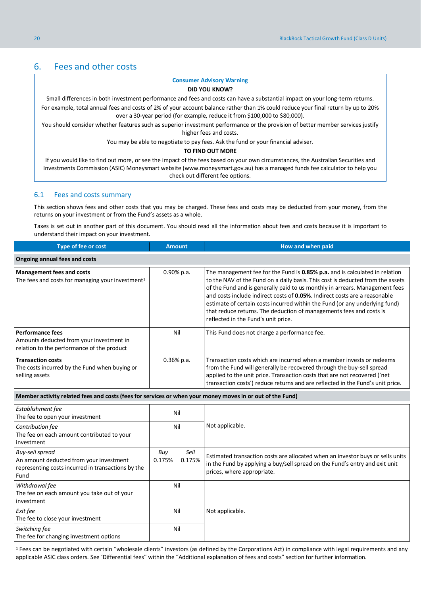# <span id="page-19-0"></span>6. Fees and other costs

#### **Consumer Advisory Warning**

#### **DID YOU KNOW?**

Small differences in both investment performance and fees and costs can have a substantial impact on your long-term returns. For example, total annual fees and costs of 2% of your account balance rather than 1% could reduce your final return by up to 20% over a 30-year period (for example, reduce it from \$100,000 to \$80,000).

You should consider whether features such as superior investment performance or the provision of better member services justify higher fees and costs.

You may be able to negotiate to pay fees. Ask the fund or your financial adviser.

#### **TO FIND OUT MORE**

If you would like to find out more, or see the impact of the fees based on your own circumstances, the Australian Securities and Investments Commission (ASIC) Moneysmart website (www.moneysmart.gov.au) has a managed funds fee calculator to help you check out different fee options.

#### <span id="page-19-1"></span>6.1 Fees and costs summary

This section shows fees and other costs that you may be charged. These fees and costs may be deducted from your money, from the returns on your investment or from the Fund's assets as a whole. different fee options.

Taxes is set out in another part of this document. You should read all the information about fees and costs because it is important to understand their impact on your investment.

| Type of fee or cost                                                                                               | <b>Amount</b> | How and when paid                                                                                                                                                                                                                                                                                                                                                                                                                                                                                                       |
|-------------------------------------------------------------------------------------------------------------------|---------------|-------------------------------------------------------------------------------------------------------------------------------------------------------------------------------------------------------------------------------------------------------------------------------------------------------------------------------------------------------------------------------------------------------------------------------------------------------------------------------------------------------------------------|
| Ongoing annual fees and costs                                                                                     |               |                                                                                                                                                                                                                                                                                                                                                                                                                                                                                                                         |
| <b>Management fees and costs</b><br>The fees and costs for managing your investment <sup>1</sup>                  | $0.90\%$ p.a. | The management fee for the Fund is 0.85% p.a. and is calculated in relation<br>to the NAV of the Fund on a daily basis. This cost is deducted from the assets<br>of the Fund and is generally paid to us monthly in arrears. Management fees<br>and costs include indirect costs of 0.05%. Indirect costs are a reasonable<br>estimate of certain costs incurred within the Fund (or any underlying fund)<br>that reduce returns. The deduction of managements fees and costs is<br>reflected in the Fund's unit price. |
| <b>Performance fees</b><br>Amounts deducted from your investment in<br>relation to the performance of the product | Nil           | This Fund does not charge a performance fee.                                                                                                                                                                                                                                                                                                                                                                                                                                                                            |
| <b>Transaction costs</b><br>The costs incurred by the Fund when buying or<br>selling assets                       | $0.36\%$ p.a. | Transaction costs which are incurred when a member invests or redeems<br>from the Fund will generally be recovered through the buy-sell spread<br>applied to the unit price. Transaction costs that are not recovered ('net<br>transaction costs') reduce returns and are reflected in the Fund's unit price.                                                                                                                                                                                                           |

#### **Member activity related fees and costs (fees for services or when your money moves in or out of the Fund)**

| Establishment fee<br>The fee to open your investment                                                                     | Nil                             |                                                                                                                                                                                             |
|--------------------------------------------------------------------------------------------------------------------------|---------------------------------|---------------------------------------------------------------------------------------------------------------------------------------------------------------------------------------------|
| Contribution fee<br>The fee on each amount contributed to your<br>investment                                             | Nil                             | Not applicable.                                                                                                                                                                             |
| Buy-sell spread<br>An amount deducted from your investment<br>representing costs incurred in transactions by the<br>Fund | Sell<br>Buy<br>0.175%<br>0.175% | Estimated transaction costs are allocated when an investor buys or sells units<br>in the Fund by applying a buy/sell spread on the Fund's entry and exit unit<br>prices, where appropriate. |
| Withdrawal fee<br>The fee on each amount you take out of your<br>investment                                              | Nil                             |                                                                                                                                                                                             |
| Exit fee<br>The fee to close your investment                                                                             | Nil                             | Not applicable.                                                                                                                                                                             |
| Switching fee<br>The fee for changing investment options                                                                 | Nil                             |                                                                                                                                                                                             |

<sup>1</sup> Fees can be negotiated with certain "wholesale clients" investors (as defined by the Corporations Act) in compliance with legal requirements and any applicable ASIC class orders. See 'Differential fees" within the "Additional explanation of fees and costs" section for further information.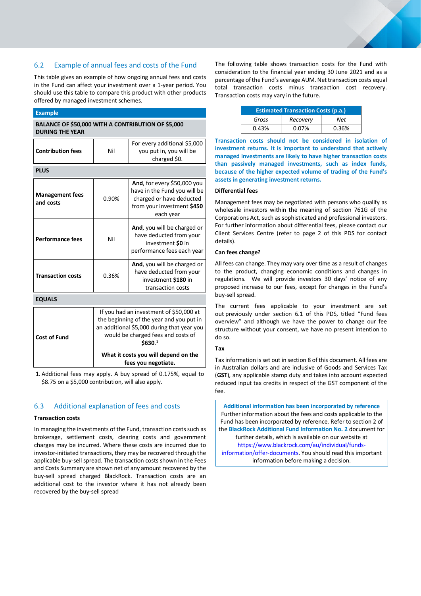# <span id="page-20-0"></span>6.2 Example of annual fees and costs of the Fund

This table gives an example of how ongoing annual fees and costs in the Fund can affect your investment over a 1-year period. You should use this table to compare this product with other products offered by managed investment schemes.

| <b>Example</b>                                                               |                                                                                                                                                                                                                                                   |                                                                                                                                           |  |  |
|------------------------------------------------------------------------------|---------------------------------------------------------------------------------------------------------------------------------------------------------------------------------------------------------------------------------------------------|-------------------------------------------------------------------------------------------------------------------------------------------|--|--|
| BALANCE OF \$50,000 WITH A CONTRIBUTION OF \$5,000<br><b>DURING THE YEAR</b> |                                                                                                                                                                                                                                                   |                                                                                                                                           |  |  |
| <b>Contribution fees</b>                                                     | For every additional \$5,000<br>you put in, you will be<br>Nil<br>charged \$0.                                                                                                                                                                    |                                                                                                                                           |  |  |
| <b>PLUS</b>                                                                  |                                                                                                                                                                                                                                                   |                                                                                                                                           |  |  |
| <b>Management fees</b><br>and costs                                          | 0.90%                                                                                                                                                                                                                                             | <b>And, for every \$50,000 you</b><br>have in the Fund you will be<br>charged or have deducted<br>from your investment \$450<br>each year |  |  |
| <b>Performance fees</b>                                                      | Nil                                                                                                                                                                                                                                               | And, you will be charged or<br>have deducted from your<br>investment <b>SO</b> in<br>performance fees each year                           |  |  |
| <b>Transaction costs</b>                                                     | And, you will be charged or<br>have deducted from your<br>0.36%<br>investment \$180 in<br>transaction costs                                                                                                                                       |                                                                                                                                           |  |  |
| <b>EQUALS</b>                                                                |                                                                                                                                                                                                                                                   |                                                                                                                                           |  |  |
| <b>Cost of Fund</b>                                                          | If you had an investment of \$50,000 at<br>the beginning of the year and you put in<br>an additional \$5,000 during that year you<br>would be charged fees and costs of<br>\$630.1<br>What it costs you will depend on the<br>fees you negotiate. |                                                                                                                                           |  |  |

1. Additional fees may apply. A buy spread of 0.175%, equal to \$8.75 on a \$5,000 contribution, will also apply.

# <span id="page-20-1"></span>6.3 Additional explanation of fees and costs

#### **Transaction costs**

In managing the investments of the Fund, transaction costs such as brokerage, settlement costs, clearing costs and government charges may be incurred. Where these costs are incurred due to investor-initiated transactions, they may be recovered through the applicable buy-sell spread. The transaction costs shown in the Fees and Costs Summary are shown net of any amount recovered by the buy-sell spread charged BlackRock. Transaction costs are an additional cost to the investor where it has not already been recovered by the buy-sell spread

The following table shows transaction costs for the Fund with consideration to the financial year ending 30 June 2021 and as a percentage of the Fund's average AUM. Net transaction costs equal total transaction costs minus transaction cost recovery. Transaction costs may vary in the future.

| <b>Estimated Transaction Costs (p.a.)</b> |       |       |  |  |  |
|-------------------------------------------|-------|-------|--|--|--|
| Gross<br>Net<br>Recovery                  |       |       |  |  |  |
| 0.43%                                     | 0.07% | 0.36% |  |  |  |

**Transaction costs should not be considered in isolation of investment returns. It is important to understand that actively managed investments are likely to have higher transaction costs than passively managed investments, such as index funds, because of the higher expected volume of trading of the Fund's assets in generating investment returns.**

#### **Differential fees**

Management fees may be negotiated with persons who qualify as wholesale investors within the meaning of section 761G of the Corporations Act, such as sophisticated and professional investors. For further information about differential fees, please contact our Client Services Centre (refer to page 2 of this PDS for contact details).

#### **Can fees change?**

All fees can change. They may vary over time as a result of changes to the product, changing economic conditions and changes in regulations. We will provide investors 30 days' notice of any proposed increase to our fees, except for changes in the Fund's buy-sell spread.

The current fees applicable to your investment are set out previously under section 6.1 of this PDS, titled "Fund fees overview" and although we have the power to change our fee structure without your consent, we have no present intention to do so.

#### **Tax**

Tax information is set out in section 8 of this document. All fees are in Australian dollars and are inclusive of Goods and Services Tax (**GST**), any applicable stamp duty and takes into account expected reduced input tax credits in respect of the GST component of the fee.

**Additional information has been incorporated by reference** Further information about the fees and costs applicable to the Fund has been incorporated by reference. Refer to section 2 of the **BlackRock Additional Fund Information No. 2** document for further details, which is available on our website at [https://www.blackrock.com/au/individual/funds](https://www.blackrock.com/au/individual/funds-information/offer-documents)[information/offer-documents.](https://www.blackrock.com/au/individual/funds-information/offer-documents) You should read this important information before making a decision.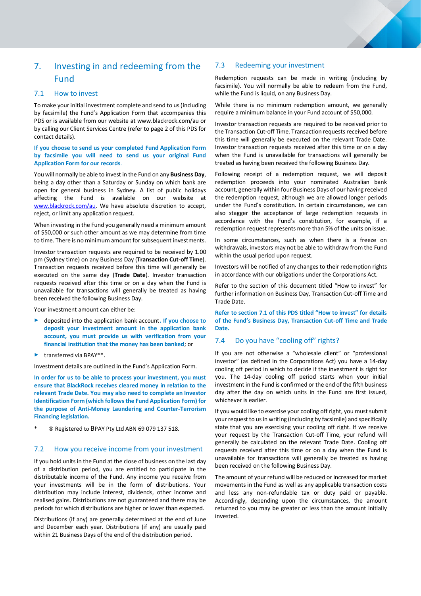

# <span id="page-21-0"></span>7. Investing in and redeeming from the Fund

## <span id="page-21-1"></span>7.1 How to invest

To make your initial investment complete and send to us (including by facsimile) the Fund's Application Form that accompanies this PDS or is available from our website at www.blackrock.com/au or by calling our Client Services Centre (refer to page 2 of this PDS for contact details).

**If you choose to send us your completed Fund Application Form by facsimile you will need to send us your original Fund Application Form for our records**.

You will normally be able to invest in the Fund on any **Business Day**, being a day other than a Saturday or Sunday on which bank are open for general business in Sydney. A list of public holidays affecting the Fund is available on our website at [www.blackrock.com/au.](http://www.blackrock.com/au) We have absolute discretion to accept, reject, or limit any application request.

When investing in the Fund you generally need a minimum amount of \$50,000 or such other amount as we may determine from time to time. There is no minimum amount for subsequent investments.

Investor transaction requests are required to be received by 1.00 pm (Sydney time) on any Business Day (**Transaction Cut-off Time**). Transaction requests received before this time will generally be executed on the same day (**Trade Date**). Investor transaction requests received after this time or on a day when the Fund is unavailable for transactions will generally be treated as having been received the following Business Day.

Your investment amount can either be:

- ► deposited into the application bank account**. If you choose to deposit your investment amount in the application bank account, you must provide us with verification from your financial institution that the money has been banked**; or
- ► transferred via BPAY®\*.

Investment details are outlined in the Fund's Application Form.

**In order for us to be able to process your investment, you must ensure that BlackRock receives cleared money in relation to the relevant Trade Date. You may also need to complete an Investor Identification Form (which follows the Fund Application Form) for the purpose of Anti-Money Laundering and Counter-Terrorism Financing legislation.**

 $@$  Registered to BPAY Pty Ltd ABN 69 079 137 518.

# <span id="page-21-2"></span>7.2 How you receive income from your investment

If you hold units in the Fund at the close of business on the last day of a distribution period, you are entitled to participate in the distributable income of the Fund. Any income you receive from your investments will be in the form of distributions. Your distribution may include interest, dividends, other income and realised gains. Distributions are not guaranteed and there may be periods for which distributions are higher or lower than expected.

Distributions (if any) are generally determined at the end of June and December each year. Distributions (if any) are usually paid within 21 Business Days of the end of the distribution period.

## <span id="page-21-3"></span>7.3 Redeeming your investment

Redemption requests can be made in writing (including by facsimile). You will normally be able to redeem from the Fund, while the Fund is liquid, on any Business Day.

While there is no minimum redemption amount, we generally require a minimum balance in your Fund account of \$50,000.

Investor transaction requests are required to be received prior to the Transaction Cut-off Time. Transaction requests received before this time will generally be executed on the relevant Trade Date. Investor transaction requests received after this time or on a day when the Fund is unavailable for transactions will generally be treated as having been received the following Business Day.

Following receipt of a redemption request, we will deposit redemption proceeds into your nominated Australian bank account, generally within four Business Days of our having received the redemption request, although we are allowed longer periods under the Fund's constitution. In certain circumstances, we can also stagger the acceptance of large redemption requests in accordance with the Fund's constitution, for example, if a redemption request represents more than 5% of the units on issue.

In some circumstances, such as when there is a freeze on withdrawals, investors may not be able to withdraw from the Fund within the usual period upon request.

Investors will be notified of any changes to their redemption rights in accordance with our obligations under the Corporations Act.

Refer to the section of this document titled "How to invest" for further information on Business Day, Transaction Cut-off Time and Trade Date.

**Refer to section 7.1 of this PDS titled "How to invest" for details of the Fund's Business Day, Transaction Cut-off Time and Trade Date.**

# <span id="page-21-4"></span>7.4 Do you have "cooling off" rights?

If you are not otherwise a "wholesale client" or "professional investor" (as defined in the Corporations Act) you have a 14-day cooling off period in which to decide if the investment is right for you. The 14-day cooling off period starts when your initial investment in the Fund is confirmed or the end of the fifth business day after the day on which units in the Fund are first issued, whichever is earlier.

If you would like to exercise your cooling off right, you must submit your request to us in writing (including by facsimile) and specifically state that you are exercising your cooling off right. If we receive your request by the Transaction Cut-off Time, your refund will generally be calculated on the relevant Trade Date. Cooling off requests received after this time or on a day when the Fund is unavailable for transactions will generally be treated as having been received on the following Business Day.

The amount of your refund will be reduced or increased for market movements in the Fund as well as any applicable transaction costs and less any non-refundable tax or duty paid or payable. Accordingly, depending upon the circumstances, the amount returned to you may be greater or less than the amount initially invested.